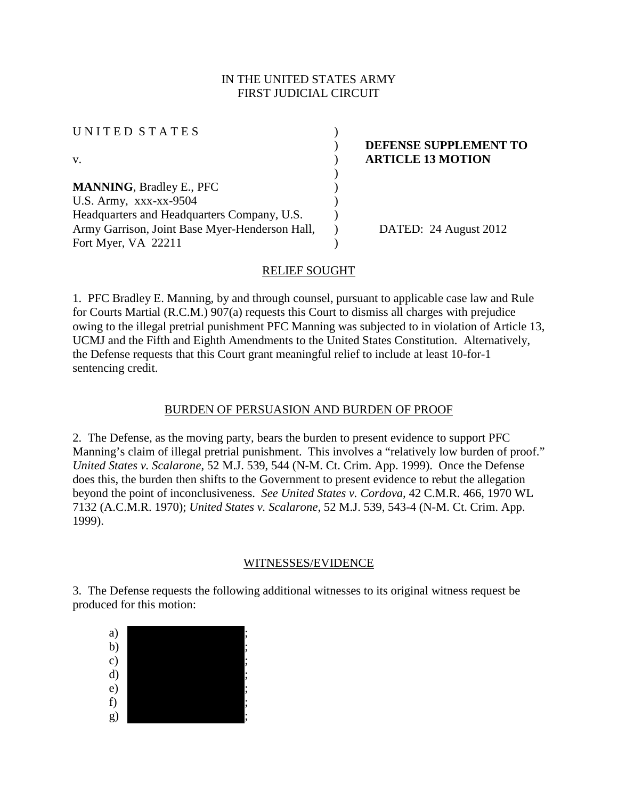#### IN THE UNITED STATES ARMY FIRST JUDICIAL CIRCUIT

UNITED STATES (1)

**MANNING**, Bradley E., PFC ) U.S. Army, xxx-xx-9504 ) Headquarters and Headquarters Company, U.S. Army Garrison, Joint Base Myer-Henderson Hall, Fort Myer, VA 22211

## ) **DEFENSE SUPPLEMENT TO**  v. **ARTICLE 13 MOTION**

) DATED: 24 August 2012

### RELIEF SOUGHT

)

)

 $\lambda$ 

1. PFC Bradley E. Manning, by and through counsel, pursuant to applicable case law and Rule for Courts Martial (R.C.M.) 907(a) requests this Court to dismiss all charges with prejudice owing to the illegal pretrial punishment PFC Manning was subjected to in violation of Article 13, UCMJ and the Fifth and Eighth Amendments to the United States Constitution. Alternatively, the Defense requests that this Court grant meaningful relief to include at least 10-for-1 sentencing credit.

#### BURDEN OF PERSUASION AND BURDEN OF PROOF

2. The Defense, as the moving party, bears the burden to present evidence to support PFC Manning's claim of illegal pretrial punishment. This involves a "relatively low burden of proof." *United States v. Scalarone*, 52 M.J. 539, 544 (N-M. Ct. Crim. App. 1999). Once the Defense does this, the burden then shifts to the Government to present evidence to rebut the allegation beyond the point of inconclusiveness. *See United States v. Cordova,* 42 C.M.R. 466, 1970 WL 7132 (A.C.M.R. 1970); *United States v. Scalarone*, 52 M.J. 539, 543-4 (N-M. Ct. Crim. App. 1999).

#### WITNESSES/EVIDENCE

3. The Defense requests the following additional witnesses to its original witness request be produced for this motion:

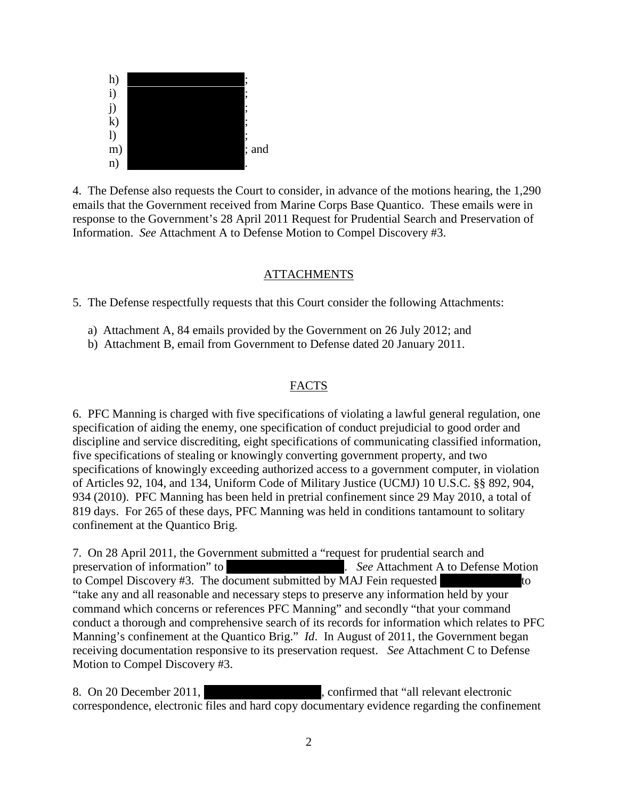

4. The Defense also requests the Court to consider, in advance of the motions hearing, the 1,290 emails that the Government received from Marine Corps Base Quantico. These emails were in response to the Government's 28 April 2011 Request for Prudential Search and Preservation of Information. *See* Attachment A to Defense Motion to Compel Discovery #3.

#### **ATTACHMENTS**

5. The Defense respectfully requests that this Court consider the following Attachments:

- a) Attachment A, 84 emails provided by the Government on 26 July 2012; and
- b) Attachment B, email from Government to Defense dated 20 January 2011.

#### FACTS

6. PFC Manning is charged with five specifications of violating a lawful general regulation, one specification of aiding the enemy, one specification of conduct prejudicial to good order and discipline and service discrediting, eight specifications of communicating classified information, five specifications of stealing or knowingly converting government property, and two specifications of knowingly exceeding authorized access to a government computer, in violation of Articles 92, 104, and 134, Uniform Code of Military Justice (UCMJ) 10 U.S.C. §§ 892, 904, 934 (2010). PFC Manning has been held in pretrial confinement since 29 May 2010, a total of 819 days. For 265 of these days, PFC Manning was held in conditions tantamount to solitary confinement at the Quantico Brig.

7. On 28 April 2011, the Government submitted a "request for prudential search and preservation of information" to \*\*\*\*\*\*\*\*\*\*\*\*\*\*\*\*\*\*\*\*\*. *See* Attachment A to Defense Motion to Compel Discovery #3. The document submitted by  $\overline{M}$ AJ Fein requested  $\overline{M}$  to "take any and all reasonable and necessary steps to preserve any information held by your command which concerns or references PFC Manning" and secondly "that your command conduct a thorough and comprehensive search of its records for information which relates to PFC Manning's confinement at the Quantico Brig." *Id*. In August of 2011, the Government began receiving documentation responsive to its preservation request. *See* Attachment C to Defense Motion to Compel Discovery #3.

8. On 20 December 2011, Sammed that "all relevant electronic correspondence, electronic files and hard copy documentary evidence regarding the confinement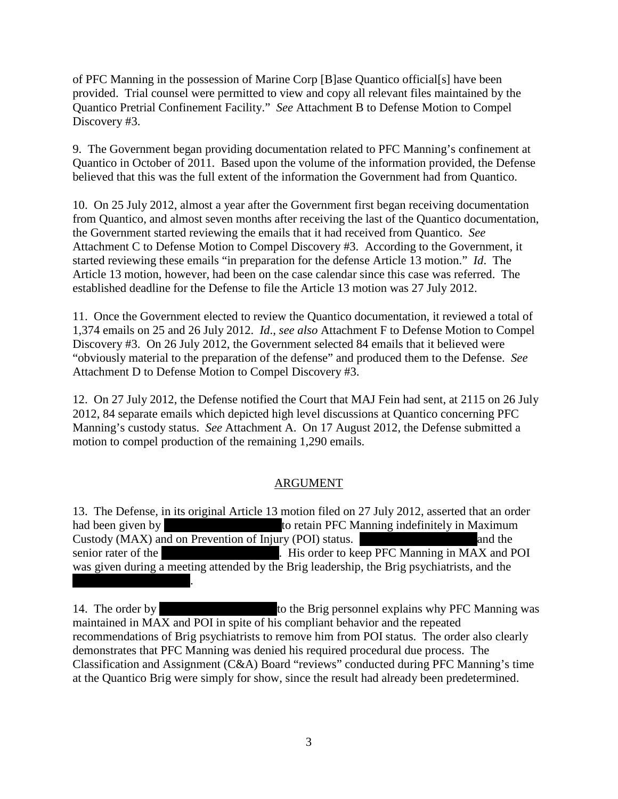of PFC Manning in the possession of Marine Corp [B]ase Quantico official[s] have been provided. Trial counsel were permitted to view and copy all relevant files maintained by the Quantico Pretrial Confinement Facility." *See* Attachment B to Defense Motion to Compel Discovery #3.

9. The Government began providing documentation related to PFC Manning's confinement at Quantico in October of 2011. Based upon the volume of the information provided, the Defense believed that this was the full extent of the information the Government had from Quantico.

10. On 25 July 2012, almost a year after the Government first began receiving documentation from Quantico, and almost seven months after receiving the last of the Quantico documentation, the Government started reviewing the emails that it had received from Quantico. *See* Attachment C to Defense Motion to Compel Discovery #3. According to the Government, it started reviewing these emails "in preparation for the defense Article 13 motion." *Id*. The Article 13 motion, however, had been on the case calendar since this case was referred. The established deadline for the Defense to file the Article 13 motion was 27 July 2012.

11. Once the Government elected to review the Quantico documentation, it reviewed a total of 1,374 emails on 25 and 26 July 2012. *Id*., *see also* Attachment F to Defense Motion to Compel Discovery #3. On 26 July 2012, the Government selected 84 emails that it believed were "obviously material to the preparation of the defense" and produced them to the Defense. *See* Attachment D to Defense Motion to Compel Discovery #3.

12. On 27 July 2012, the Defense notified the Court that MAJ Fein had sent, at 2115 on 26 July 2012, 84 separate emails which depicted high level discussions at Quantico concerning PFC Manning's custody status. *See* Attachment A. On 17 August 2012, the Defense submitted a motion to compel production of the remaining 1,290 emails.

## ARGUMENT

13. The Defense, in its original Article 13 motion filed on 27 July 2012, asserted that an order had been given by \*\*\*\*\*\*Redacted\*\*\*\*\*\*to retain PFC Manning indefinitely in Maximum Custody (MAX) and on Prevention of Injury (POI) status.  $\blacksquare$  and the senior rater of the \*\*\*\*\*\*\*\*\*\*\*\*\*\*\*\*\*. His order to keep PFC Manning in MAX and POI was given during a meeting attended by the Brig leadership, the Brig psychiatrists, and the

\*\*\*\*\*\*\*\*\*\*\*\*\*\*\*\*\*

14. The order by  $\qquad \qquad$  to the Brig personnel explains why PFC Manning was maintained in MAX and POI in spite of his compliant behavior and the repeated recommendations of Brig psychiatrists to remove him from POI status. The order also clearly demonstrates that PFC Manning was denied his required procedural due process. The Classification and Assignment (C&A) Board "reviews" conducted during PFC Manning's time at the Quantico Brig were simply for show, since the result had already been predetermined.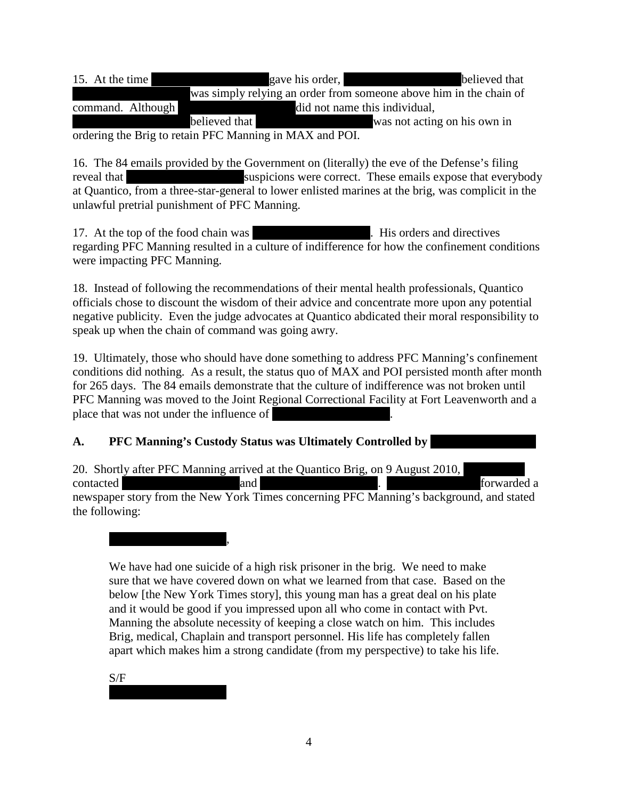15. At the time  $\qquad \qquad$  gave his order,  $\qquad \qquad$  believed that was simply relying an order from someone above him in the chain of command. Although  $\ddot{\text{d}}$  and  $\ddot{\text{d}}$  and  $\ddot{\text{d}}$  and  $\ddot{\text{d}}$  and  $\ddot{\text{d}}$  and  $\ddot{\text{d}}$ \*\*\*\*\*\*Redacted\*\*\*\*\*\*believed that \*\*\*\*\*\*Redacted\*\*\*\*\*\*was not acting on his own in

ordering the Brig to retain PFC Manning in MAX and POI.

16. The 84 emails provided by the Government on (literally) the eve of the Defense's filing reveal that \*\*\*\*\*\*Redacted\*\*\*\*\*\*suspicions were correct. These emails expose that everybody at Quantico, from a three-star-general to lower enlisted marines at the brig, was complicit in the unlawful pretrial punishment of PFC Manning.

17. At the top of the food chain was \*\*\*\*\*\*... His orders and directives regarding PFC Manning resulted in a culture of indifference for how the confinement conditions were impacting PFC Manning.

18. Instead of following the recommendations of their mental health professionals, Quantico officials chose to discount the wisdom of their advice and concentrate more upon any potential negative publicity. Even the judge advocates at Quantico abdicated their moral responsibility to speak up when the chain of command was going awry.

19. Ultimately, those who should have done something to address PFC Manning's confinement conditions did nothing. As a result, the status quo of MAX and POI persisted month after month for 265 days. The 84 emails demonstrate that the culture of indifference was not broken until PFC Manning was moved to the Joint Regional Correctional Facility at Fort Leavenworth and a place that was not under the influence of

**A.** PFC Manning's Custody Status was Ultimately Controlled by

20. Shortly after PFC Manning arrived at the Quantico Brig, on 9 August 2010, contacted \*\*\*\*\*\*Redacted\*\*\*\*\*\*and \*\*\*\*\*\*Redacted\*\*\*\*\*\*. \*\*\*\*Redacted\*\*\*\*forwarded a newspaper story from the New York Times concerning PFC Manning's background, and stated the following:

We have had one suicide of a high risk prisoner in the brig. We need to make sure that we have covered down on what we learned from that case. Based on the below [the New York Times story], this young man has a great deal on his plate and it would be good if you impressed upon all who come in contact with Pvt. Manning the absolute necessity of keeping a close watch on him. This includes Brig, medical, Chaplain and transport personnel. His life has completely fallen apart which makes him a strong candidate (from my perspective) to take his life.

S/F

 $\overline{\phantom{a}}$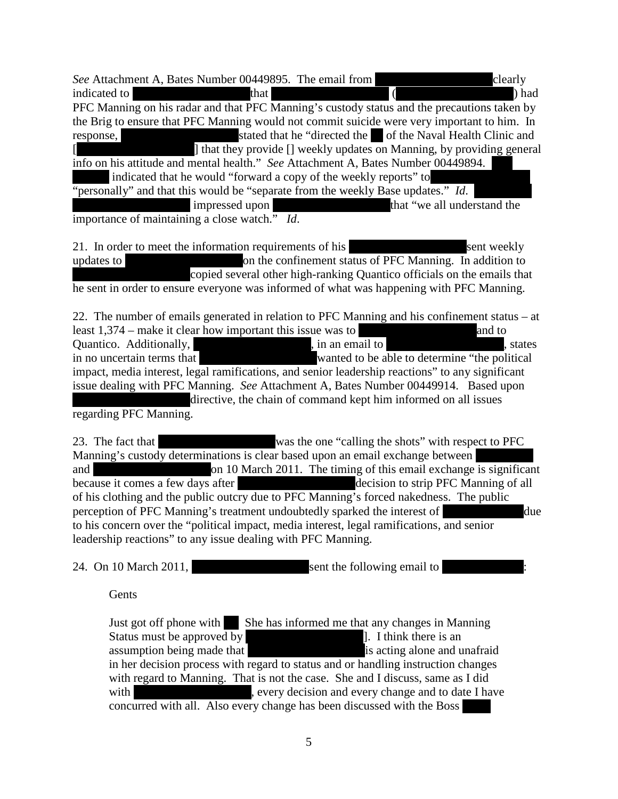| See Attachment A, Bates Number 00449895. The email from                           | clearly                                                                                                                                               |
|-----------------------------------------------------------------------------------|-------------------------------------------------------------------------------------------------------------------------------------------------------|
| that<br>indicated to                                                              | ) had                                                                                                                                                 |
|                                                                                   | PFC Manning on his radar and that PFC Manning's custody status and the precautions taken by                                                           |
|                                                                                   | the Brig to ensure that PFC Manning would not commit suicide were very important to him. In                                                           |
| response,                                                                         | stated that he "directed the of the Naval Health Clinic and                                                                                           |
|                                                                                   | 1 that they provide [] weekly updates on Manning, by providing general                                                                                |
| info on his attitude and mental health." See Attachment A, Bates Number 00449894. |                                                                                                                                                       |
| indicated that he would "forward a copy of the weekly reports" to                 |                                                                                                                                                       |
| "personally" and that this would be "separate from the weekly Base updates." Id.  |                                                                                                                                                       |
| impressed upon                                                                    | that "we all understand the<br><u> Tanzania de la propincia de la propincia de la propincia de la propincia de la propincia de la propincia de la</u> |
| importance of maintaining a close watch." Id.                                     |                                                                                                                                                       |

21. In order to meet the information requirements of his \*\*\*\*\*\*Redacted\*\*\*\*\*\*sent weekly updates to \*\*\*\*\*\*\*\*\*\*\*\*\*\*\*\*\*on the confinement status of PFC Manning. In addition to copied several other high-ranking Quantico officials on the emails that he sent in order to ensure everyone was informed of what was happening with PFC Manning.

22. The number of emails generated in relation to PFC Manning and his confinement status – at least  $1,374$  – make it clear how important this issue was to  $\mu$  and to Quantico. Additionally,  $\qquad \qquad$ , in an email to  $\qquad \qquad$ , states in no uncertain terms that  $\overline{\phantom{a}}$  wanted to be able to determine "the political impact, media interest, legal ramifications, and senior leadership reactions" to any significant issue dealing with PFC Manning. *See* Attachment A, Bates Number 00449914. Based upon directive, the chain of command kept him informed on all issues regarding PFC Manning.

23. The fact that \*\*\*\*\*\*Redacted\*\*\*\*\*\*was the one "calling the shots" with respect to PFC Manning's custody determinations is clear based upon an email exchange between and \*\*\*\*\*\*\*\*\*\*\*\*\*on 10 March 2011. The timing of this email exchange is significant because it comes a few days after \*\*\*\*\*\*\*\*\*\*decision to strip PFC Manning of all of his clothing and the public outcry due to PFC Manning's forced nakedness. The public perception of PFC Manning's treatment undoubtedly sparked the interest of  $\Delta$  due to his concern over the "political impact, media interest, legal ramifications, and senior leadership reactions" to any issue dealing with PFC Manning.

24. On 10 March 2011, the sent the following email to  $\mathbb{R}^n$ 

**Gents** 

Just got off phone with She has informed me that any changes in Manning Status must be approved by  $\begin{bmatrix} 1 & 1 & 1 \\ 1 & 1 & 1 \end{bmatrix}$ . I think there is an assumption being made that  $\begin{bmatrix} 1 & 1 \\ 1 & 1 \end{bmatrix}$  is acting alone and unafraid assumption being made that in her decision process with regard to status and or handling instruction changes with regard to Manning. That is not the case. She and I discuss, same as I did with \*\*\*\*\*\*Redacted\*\*\*\*\*\*, every decision and every change and to date I have concurred with all. Also every change has been discussed with the Boss [\*\*\*\*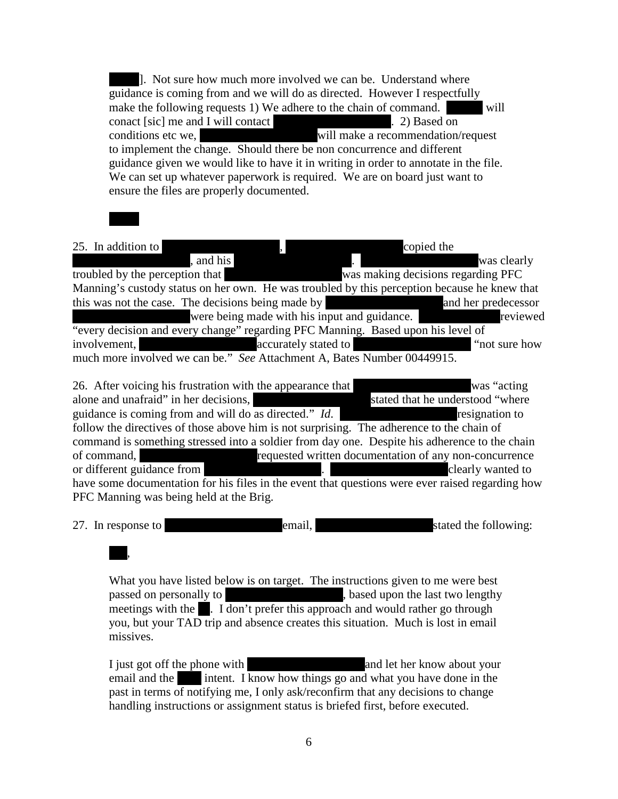1. Not sure how much more involved we can be. Understand where guidance is coming from and we will do as directed. However I respectfully make the following requests 1) We adhere to the chain of command.  $\ddot{\hspace{1cm}}$  will conact [sic] me and I will contact \*\*\*\*\*\*\*\*\*\*. 2) Based on conditions etc we, \*\*\*\*\*\*Redacted\*\*\*\*\*\*will make a recommendation/request to implement the change. Should there be non concurrence and different guidance given we would like to have it in writing in order to annotate in the file. We can set up whatever paperwork is required. We are on board just want to ensure the files are properly documented.

#### 25. In addition to  $\blacksquare$ \*\*\*\*\*\*Redacted\*\*\*\*\*\*, and his \*\*\*\*\*\*Redacted\*\*\*\*\*\*. \*\*\*\*\*\*Redacted\*\*\*\*\*\*was clearly troubled by the perception that  $\frac{1}{\sqrt{2\pi}}$  was making decisions regarding PFC Manning's custody status on her own. He was troubled by this perception because he knew that this was not the case. The decisions being made by \*\*\*\*\*\*Redacted\*\*\*\*\*\*and her predecessor \*\*\*\*\*\*Redacted\*\*\*\*\*\*were being made with his input and guidance. \*\*\*Redacted\*\*\*reviewed "every decision and every change" regarding PFC Manning. Based upon his level of involvement, \*\*\*\*\*\*Redacted\*\*\*\*\*\*accurately stated to \*\*\*\*\*\*Redacted\*\*\*\*\*\* "not sure how much more involved we can be." *See* Attachment A, Bates Number 00449915.

26. After voicing his frustration with the appearance that  $\frac{1}{100}$  was "acting" alone and unafraid" in her decisions, \*\*\*\*\*\*Redacted\*\*\*\*\*\*stated that he understood "where guidance is coming from and will do as directed." *Id*. \*\*\*\*\*\*Redacted\*\*\*\*\*\*resignation to follow the directives of those above him is not surprising. The adherence to the chain of command is something stressed into a soldier from day one. Despite his adherence to the chain of command, \*\*\*\*\*\*Redacted\*\*\*\*\*\*requested written documentation of any non-concurrence or different guidance from  $\blacksquare$ have some documentation for his files in the event that questions were ever raised regarding how PFC Manning was being held at the Brig.

|  | 27. In response to |  | email. |  | stated the following: |
|--|--------------------|--|--------|--|-----------------------|
|--|--------------------|--|--------|--|-----------------------|

# $\overline{\phantom{a}}$ ,

What you have listed below is on target. The instructions given to me were best passed on personally to \*\*\*\*\*\*\*\*\*\*\*\*\*\*\*, based upon the last two lengthy meetings with the  $\blacksquare$ . I don't prefer this approach and would rather go through you, but your TAD trip and absence creates this situation. Much is lost in email missives.

I just got off the phone with \*\*\*\*\*\*Redacted\*\*\*\*\*\*and let her know about your email and the \*\*\*\* intent. I know how things go and what you have done in the past in terms of notifying me, I only ask/reconfirm that any decisions to change handling instructions or assignment status is briefed first, before executed.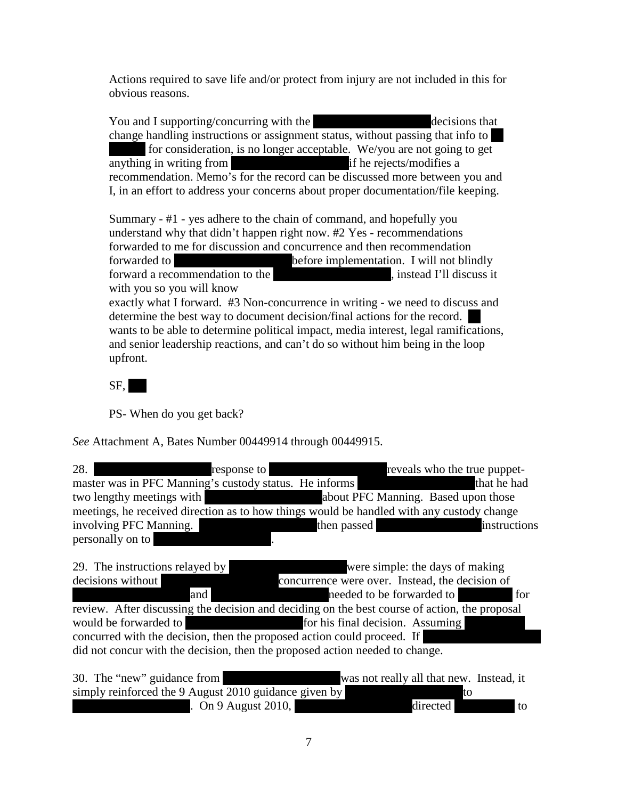Actions required to save life and/or protect from injury are not included in this for obvious reasons.

You and I supporting/concurring with the \*\*\*\*\*\*\*\*\*\*decisions that change handling instructions or assignment status, without passing that info to \*\* for consideration, is no longer acceptable. We/you are not going to get anything in writing from  $\qquad$  if he rejects/modifies a recommendation. Memo's for the record can be discussed more between you and I, in an effort to address your concerns about proper documentation/file keeping.

Summary - #1 - yes adhere to the chain of command, and hopefully you understand why that didn't happen right now. #2 Yes - recommendations forwarded to me for discussion and concurrence and then recommendation forwarded to \*\*\*\*\*\*Redacted\*\*\*\*\*\*before implementation. I will not blindly forward a recommendation to the \*\*\*\*\*\*\*\*\*\*\*\*\*\*\*\*\*\*\*\*\*\*\*\*, instead I'll discuss it with you so you will know

exactly what I forward. #3 Non-concurrence in writing - we need to discuss and determine the best way to document decision/final actions for the record. wants to be able to determine political impact, media interest, legal ramifications, and senior leadership reactions, and can't do so without him being in the loop upfront.

 $SF, |$ 

PS- When do you get back?

*See* Attachment A, Bates Number 00449914 through 00449915.

| 28.                       | response to                                                                               | reveals who the true puppet-        |
|---------------------------|-------------------------------------------------------------------------------------------|-------------------------------------|
|                           | master was in PFC Manning's custody status. He informs                                    | that he had                         |
| two lengthy meetings with | <u> Andrew Maria (1986)</u>                                                               | about PFC Manning. Based upon those |
|                           | meetings, he received direction as to how things would be handled with any custody change |                                     |
| involving PFC Manning.    | then passed                                                                               | instructions                        |
| personally on to          |                                                                                           |                                     |

29. The instructions relayed by \*\*\*\*\*\*Redacted\*\*\*\*\*\*were simple: the days of making decisions without  $\blacksquare$  concurrence were over. Instead, the decision of \*\*\*\*\*\*Redacted\*\*\*\*\*\*and \*\*\*\*\*\*Redacted\*\*\*\*\*\*needed to be forwarded to \*\*\*\*\*\*\*\*\* for review. After discussing the decision and deciding on the best course of action, the proposal would be forwarded to \*\*\*\*\*\*Redacted\*\*\*\*\*\*for his final decision. Assuming \*\*\*\*\*\*\*\*\*\* concurred with the decision, then the proposed action could proceed. If did not concur with the decision, then the proposed action needed to change.

| 30. The "new" guidance from                           |                   | was not really all that new. Instead, it |    |
|-------------------------------------------------------|-------------------|------------------------------------------|----|
| simply reinforced the 9 August 2010 guidance given by |                   |                                          |    |
|                                                       | On 9 August 2010, | directed.                                | to |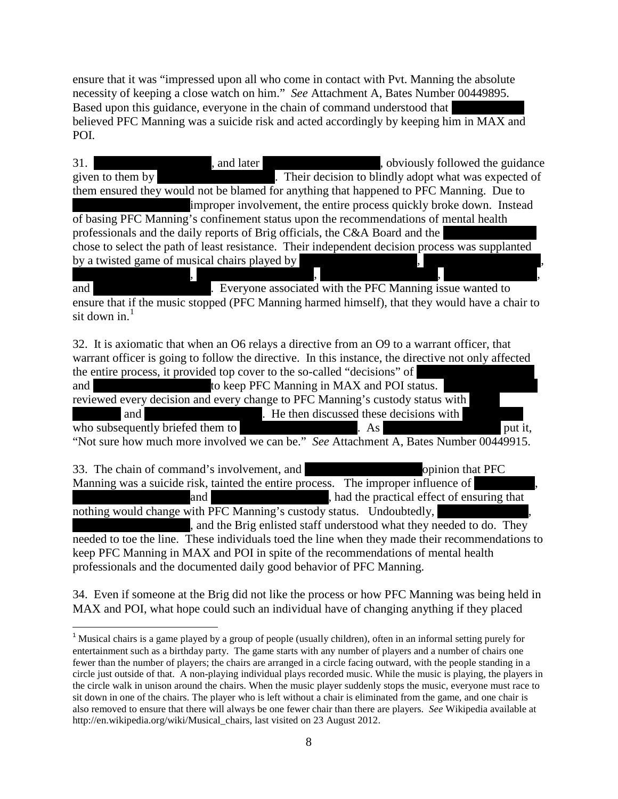ensure that it was "impressed upon all who come in contact with Pvt. Manning the absolute necessity of keeping a close watch on him." *See* Attachment A, Bates Number 00449895. Based upon this guidance, everyone in the chain of command understood that believed PFC Manning was a suicide risk and acted accordingly by keeping him in MAX and POI.

| , and later<br>31.<br>, obviously followed the guidance<br>Their decision to blindly adopt what was expected of<br>given to them by<br>them ensured they would not be blamed for anything that happened to PFC Manning. Due to<br>improper involvement, the entire process quickly broke down. Instead<br>of basing PFC Manning's confinement status upon the recommendations of mental health |
|------------------------------------------------------------------------------------------------------------------------------------------------------------------------------------------------------------------------------------------------------------------------------------------------------------------------------------------------------------------------------------------------|
| professionals and the daily reports of Brig officials, the C&A Board and the                                                                                                                                                                                                                                                                                                                   |
| chose to select the path of least resistance. Their independent decision process was supplanted                                                                                                                                                                                                                                                                                                |
| by a twisted game of musical chairs played by<br>and<br>Everyone associated with the PFC Manning issue wanted to<br>ensure that if the music stopped (PFC Manning harmed himself), that they would have a chair to<br>sit down in. $1$                                                                                                                                                         |
| 32. It is axiomatic that when an O6 relays a directive from an O9 to a warrant officer, that                                                                                                                                                                                                                                                                                                   |
| warrant officer is going to follow the directive. In this instance, the directive not only affected<br>the entire process, it provided top cover to the so-called "decisions" of<br>to keep PFC Manning in MAX and POI status.<br>and                                                                                                                                                          |
| reviewed every decision and every change to PFC Manning's custody status with<br>. He then discussed these decisions with<br>and<br>who subsequently briefed them to<br>put it,<br>As                                                                                                                                                                                                          |
| "Not sure how much more involved we can be." See Attachment A, Bates Number 00449915.                                                                                                                                                                                                                                                                                                          |
| 33. The chain of command's involvement, and<br>opinion that PFC                                                                                                                                                                                                                                                                                                                                |
| Manning was a suicide risk, tainted the entire process. The improper influence of                                                                                                                                                                                                                                                                                                              |
| , had the practical effect of ensuring that<br>and<br>nothing would change with PFC Manning's custody status. Undoubtedly,                                                                                                                                                                                                                                                                     |
| and the Brig enlisted staff understood what they needed to do. They                                                                                                                                                                                                                                                                                                                            |
| needed to toe the line. These individuals toed the line when they made their recommendations to                                                                                                                                                                                                                                                                                                |
| keep PFC Manning in MAX and POI in spite of the recommendations of mental health                                                                                                                                                                                                                                                                                                               |
| professionals and the documented daily good behavior of PFC Manning.                                                                                                                                                                                                                                                                                                                           |

34. Even if someone at the Brig did not like the process or how PFC Manning was being held in MAX and POI, what hope could such an individual have of changing anything if they placed

<span id="page-7-0"></span><sup>&</sup>lt;sup>1</sup> Musical chairs is a game played by a group of people (usually children), often in an informal setting purely for entertainment such as a birthday party. The game starts with any number of players and a number of chairs one fewer than the number of players; the chairs are arranged in a circle facing outward, with the people standing in a circle just outside of that. A non-playing individual plays recorded music. While the music is playing, the players in the circle walk in unison around the chairs. When the music player suddenly stops the music, everyone must race to sit down in one of the chairs. The player who is left without a chair is eliminated from the game, and one chair is also removed to ensure that there will always be one fewer chair than there are players. *See* Wikipedia available at http://en.wikipedia.org/wiki/Musical\_chairs, last visited on 23 August 2012.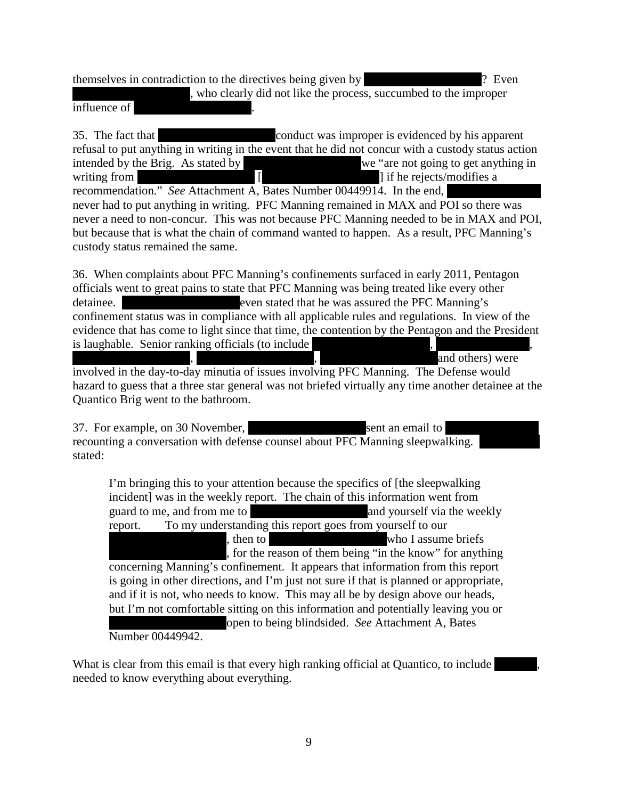themselves in contradiction to the directives being given by  $\mathbb{R}^n$  Even , who clearly did not like the process, succumbed to the improper influence of

35. The fact that  $\qquad \qquad \text{conduct was improper is evidenced by his apparent}$ refusal to put anything in writing in the event that he did not concur with a custody status action intended by the Brig. As stated by  $\frac{1}{\sqrt{2\pi}}$  we "are not going to get anything in writing from  $\begin{bmatrix} 1 & 1 \end{bmatrix}$  [  $\begin{bmatrix} 2 & 1 \end{bmatrix}$  if he rejects/modifies a recommendation." *See* Attachment A, Bates Number 00449914. In the end, never had to put anything in writing. PFC Manning remained in MAX and POI so there was never a need to non-concur. This was not because PFC Manning needed to be in MAX and POI, but because that is what the chain of command wanted to happen. As a result, PFC Manning's custody status remained the same.

36. When complaints about PFC Manning's confinements surfaced in early 2011, Pentagon officials went to great pains to state that PFC Manning was being treated like every other detainee. \*\*\*\*\*\*Redacted\*\*\*\*\*\*even stated that he was assured the PFC Manning's confinement status was in compliance with all applicable rules and regulations. In view of the evidence that has come to light since that time, the contention by the Pentagon and the President is laughable. Senior ranking officials (to include and others) were

involved in the day-to-day minutia of issues involving PFC Manning. The Defense would hazard to guess that a three star general was not briefed virtually any time another detainee at the Quantico Brig went to the bathroom.

37. For example, on 30 November, \*\*\*\*\*\*Redacted\*\*\*\*\*\*sent an email to \*\*\*\*Redacted\*\*\*\* recounting a conversation with defense counsel about PFC Manning sleepwalking. stated:

I'm bringing this to your attention because the specifics of [the sleepwalking incident] was in the weekly report. The chain of this information went from guard to me, and from me to \*\*\*\*\*\*Redacted\*\*\*\*\*\*and yourself via the weekly report. To my understanding this report goes from yourself to our \*\*\*\*\*\*Redacted\*\*\*\*\*\*, then to \*\*\*\*\*\*Redacted\*\*\*\*\*\*who I assume briefs , for the reason of them being "in the know" for anything concerning Manning's confinement. It appears that information from this report is going in other directions, and I'm just not sure if that is planned or appropriate, and if it is not, who needs to know. This may all be by design above our heads, but I'm not comfortable sitting on this information and potentially leaving you or open to being blindsided. *See* Attachment A, Bates Number 00449942.

What is clear from this email is that every high ranking official at Quantico, to include needed to know everything about everything.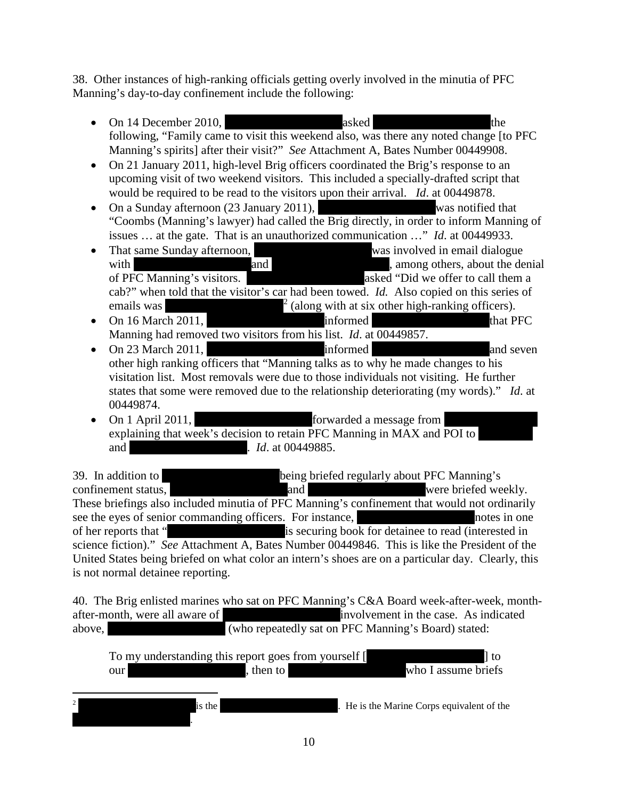38. Other instances of high-ranking officials getting overly involved in the minutia of PFC Manning's day-to-day confinement include the following:

- On 14 December 2010,  $\qquad \qquad$  asked  $\qquad \qquad$  the following, "Family came to visit this weekend also, was there any noted change [to PFC Manning's spirits] after their visit?" *See* Attachment A, Bates Number 00449908.
- On 21 January 2011, high-level Brig officers coordinated the Brig's response to an upcoming visit of two weekend visitors. This included a specially-drafted script that would be required to be read to the visitors upon their arrival. *Id*. at 00449878.
- On a Sunday afternoon (23 January 2011), was notified that "Coombs (Manning's lawyer) had called the Brig directly, in order to inform Manning of issues … at the gate. That is an unauthorized communication …" *Id*. at 00449933.
- That same Sunday afternoon, was involved in email dialogue with \*\*\*\*\*\*Redacted\*\*\*\*\*\*and \*\*\*\*\*\*Redacted\*\*\*\*\*\*, among others, about the denial of PFC Manning's visitors. \*\*\*\*\*\*Redacted\*\*\*\*\*\*asked "Did we offer to call them a cab?" when told that the visitor's car had been towed. *Id.* Also copied on this series of emails was  $\frac{2}{\pi}$  $\frac{2}{\pi}$  $\frac{2}{\pi}$  (along with at six other high-ranking officers).
- On 16 March 2011,  $\blacksquare$  informed that PFC Manning had removed two visitors from his list. *Id*. at 00449857.
- On 23 March 2011,  $\blacksquare$  informed  $\blacksquare$  and seven other high ranking officers that "Manning talks as to why he made changes to his visitation list. Most removals were due to those individuals not visiting. He further states that some were removed due to the relationship deteriorating (my words)." *Id*. at 00449874.
- On 1 April 2011, \*\*\*\*\*\*Redacted\*\*\*\*\*\*forwarded a message from \*\*\*\*Redacted\*\*\*\* explaining that week's decision to retain PFC Manning in MAX and POI to and  $Id.$  at 00449885.

39. In addition to \*\*\*\*\*\*Redacted\*\*\*\*\*\*being briefed regularly about PFC Manning's confinement status, \*\*\*\*\*\*Redacted\*\*\*\*\*\*and \*\*\*\*\*\*Redacted\*\*\*\*\*\*were briefed weekly. These briefings also included minutia of PFC Manning's confinement that would not ordinarily see the eyes of senior commanding officers. For instance, \*\*\*\*\*\*Redacted\*\*\*\*\*\*notes in one of her reports that "\*\*\*\*\*\*Redacted\*\*\*\*\*\*is securing book for detainee to read (interested in science fiction)." *See* Attachment A, Bates Number 00449846. This is like the President of the United States being briefed on what color an intern's shoes are on a particular day. Clearly, this is not normal detainee reporting.

40. The Brig enlisted marines who sat on PFC Manning's C&A Board week-after-week, monthafter-month, were all aware of \*\*\*\*\*\*Redacted\*\*\*\*\*\*involvement in the case. As indicated above,  $\frac{1}{\text{(who repeatedly sat on PFC Manning's Board) stated:}}$ 

<span id="page-9-0"></span>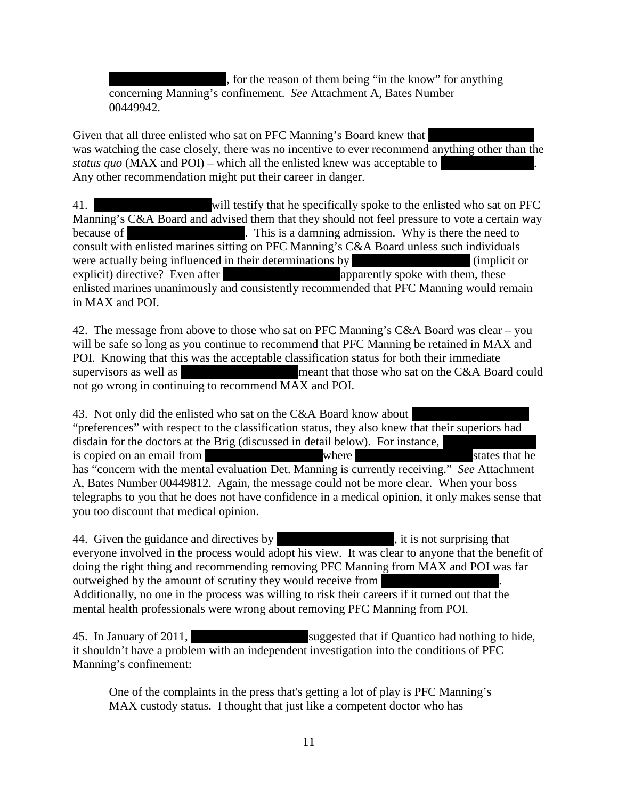, for the reason of them being "in the know" for anything concerning Manning's confinement. *See* Attachment A, Bates Number 00449942.

Given that all three enlisted who sat on PFC Manning's Board knew that was watching the case closely, there was no incentive to ever recommend anything other than the *status quo* (MAX and POI) – which all the enlisted knew was acceptable to Any other recommendation might put their career in danger.

41. \*\*\*\*\*\*Redacted\*\*\*\*\*\*will testify that he specifically spoke to the enlisted who sat on PFC Manning's C&A Board and advised them that they should not feel pressure to vote a certain way because of \*\*\*\*\*\*\*\*\*\*\*\*. This is a damning admission. Why is there the need to consult with enlisted marines sitting on PFC Manning's C&A Board unless such individuals were actually being influenced in their determinations by  $\blacksquare$  (implicit or explicit) directive? Even after  $\blacksquare$   $\blacksquare$   $\blacksquare$  apparently spoke with them, these enlisted marines unanimously and consistently recommended that PFC Manning would remain in MAX and POI.

42. The message from above to those who sat on PFC Manning's C&A Board was clear – you will be safe so long as you continue to recommend that PFC Manning be retained in MAX and POI. Knowing that this was the acceptable classification status for both their immediate supervisors as well as \*\*\*\*\*\*Redacted\*\*\*\*\*\*meant that those who sat on the C&A Board could not go wrong in continuing to recommend MAX and POI.

43. Not only did the enlisted who sat on the C&A Board know about "preferences" with respect to the classification status, they also knew that their superiors had disdain for the doctors at the Brig (discussed in detail below). For instance, is copied on an email from \*\*\*\*\*\*Redacted\*\*\*\*\*\*where \*\*\*\*\*\*Redacted\*\*\*\*\*\*states that he has "concern with the mental evaluation Det. Manning is currently receiving." *See* Attachment A, Bates Number 00449812. Again, the message could not be more clear. When your boss telegraphs to you that he does not have confidence in a medical opinion, it only makes sense that you too discount that medical opinion.

44. Given the guidance and directives by  $\mathbf{\hat{R}}$ , it is not surprising that everyone involved in the process would adopt his view. It was clear to anyone that the benefit of doing the right thing and recommending removing PFC Manning from MAX and POI was far outweighed by the amount of scrutiny they would receive from Additionally, no one in the process was willing to risk their careers if it turned out that the mental health professionals were wrong about removing PFC Manning from POI.

45. In January of 2011, suggested that if Quantico had nothing to hide, it shouldn't have a problem with an independent investigation into the conditions of PFC Manning's confinement:

One of the complaints in the press that's getting a lot of play is PFC Manning's MAX custody status. I thought that just like a competent doctor who has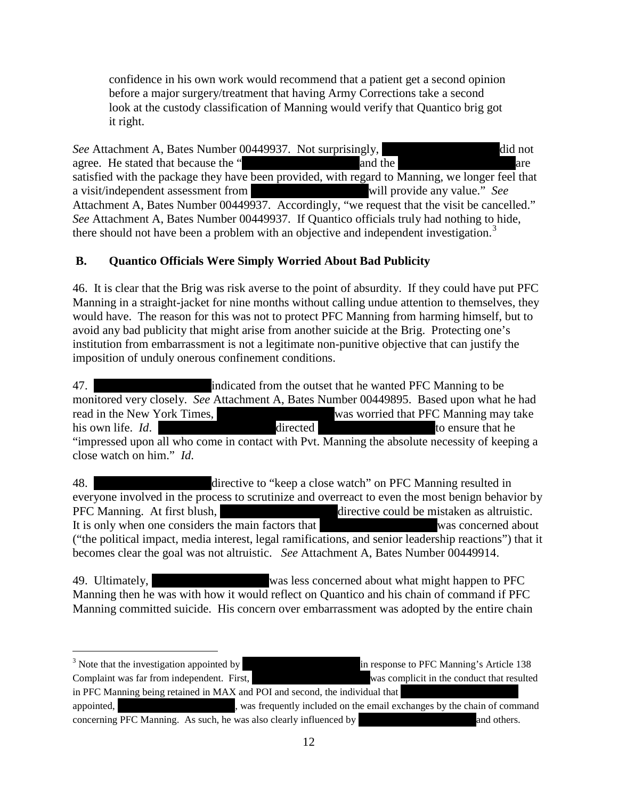confidence in his own work would recommend that a patient get a second opinion before a major surgery/treatment that having Army Corrections take a second look at the custody classification of Manning would verify that Quantico brig got it right.

*See* Attachment A, Bates Number 00449937. Not surprisingly,  $\frac{d}{dt}$  did not agree. He stated that because the "\*\*\*\*\*\*Redacted\*\*\*\*\*\*and the \*\*\*\*\*\*Redacted\*\*\*\*\*\*are satisfied with the package they have been provided, with regard to Manning, we longer feel that a visit/independent assessment from \*\*\*\*\*\*Redacted\*\*\*\*\*\*will provide any value." *See* Attachment A, Bates Number 00449937. Accordingly, "we request that the visit be cancelled." *See* Attachment A, Bates Number 00449937. If Quantico officials truly had nothing to hide, there should not have been a problem with an objective and independent investigation.<sup>[3](#page-11-0)</sup>

## **B. Quantico Officials Were Simply Worried About Bad Publicity**

46. It is clear that the Brig was risk averse to the point of absurdity. If they could have put PFC Manning in a straight-jacket for nine months without calling undue attention to themselves, they would have. The reason for this was not to protect PFC Manning from harming himself, but to avoid any bad publicity that might arise from another suicide at the Brig. Protecting one's institution from embarrassment is not a legitimate non-punitive objective that can justify the imposition of unduly onerous confinement conditions.

47. \*\*\*\*\*\*Redacted\*\*\*\*\*\*indicated from the outset that he wanted PFC Manning to be monitored very closely. *See* Attachment A, Bates Number 00449895. Based upon what he had read in the New York Times, \*\*\*\*\*\*Redacted\*\*\*\*\*\*was worried that PFC Manning may take his own life. *Id*. \*\*\*\*\*\*Redacted\*\*\*\*\*\*directed \*\*\*\*\*\*Redacted\*\*\*\*\*\*to ensure that he "impressed upon all who come in contact with Pvt. Manning the absolute necessity of keeping a close watch on him." *Id*.

48. \*\*\*\*\*\*Redacted\*\*\*\*\*\*directive to "keep a close watch" on PFC Manning resulted in everyone involved in the process to scrutinize and overreact to even the most benign behavior by PFC Manning. At first blush, \*\*\*\*\*\*Redacted\*\*\*\*\*\*directive could be mistaken as altruistic. It is only when one considers the main factors that \*\*\*\*\*\*Redacted\*\*\*\*\*\*was concerned about ("the political impact, media interest, legal ramifications, and senior leadership reactions") that it becomes clear the goal was not altruistic. *See* Attachment A, Bates Number 00449914.

49. Ultimately,  $\frac{1}{2}$  was less concerned about what might happen to PFC Manning then he was with how it would reflect on Quantico and his chain of command if PFC Manning committed suicide. His concern over embarrassment was adopted by the entire chain

 $\overline{\phantom{a}}$ 

<span id="page-11-0"></span> $3$  Note that the investigation appointed by  $\frac{3}{2}$  in response to PFC Manning's Article 138 Complaint was far from independent. First, \*\*\*\*\*\*Redacted\*\*\*\*\*\*was complicit in the conduct that resulted in PFC Manning being retained in MAX and POI and second, the individual that appointed, \*\*\*\*\*\*Redacted\*\*\*\*\*\*, was frequently included on the email exchanges by the chain of command concerning PFC Manning. As such, he was also clearly influenced by  $\blacksquare$  and others.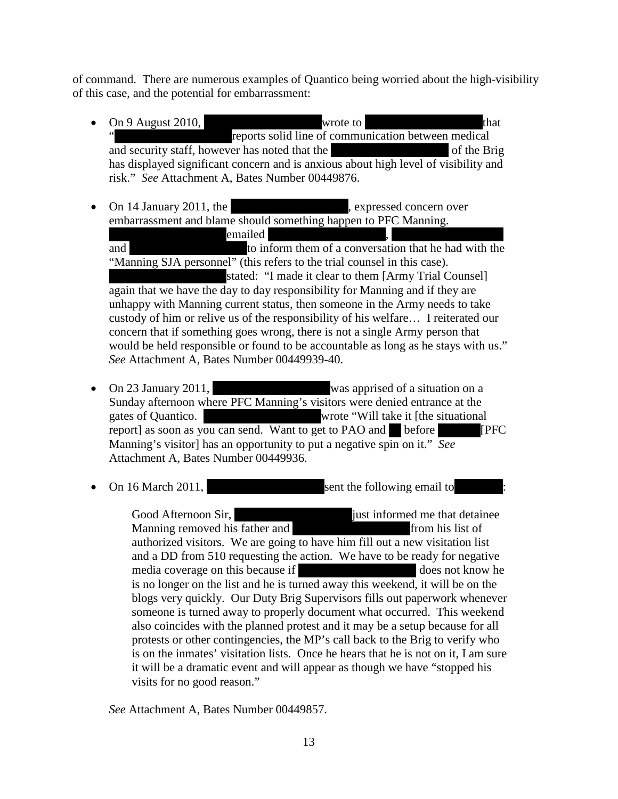of command. There are numerous examples of Quantico being worried about the high-visibility of this case, and the potential for embarrassment:

- On 9 August 2010,  $\bullet$  wrote to  $\bullet$  that reports solid line of communication between medical and security staff, however has noted that the \*\*\*\*\*\*\*\*\*\*\*\*\* of the Brig has displayed significant concern and is anxious about high level of visibility and risk." *See* Attachment A, Bates Number 00449876.
- On 14 January 2011, the \*\*\*\*\*\*\*\*\*\*\*\*\*\*\*\*\*\*\*\*\*, expressed concern over embarrassment and blame should something happen to PFC Manning. \*\*\*\*\*\*Redacted\*\*\*\*\*\*emailed \*\*\*\*\*\*Redacted\*\*\*\*\*\*, \*\*\*\*\*\*Redacted\*\*\*\*\* and  $*$  to inform them of a conversation that he had with the "Manning SJA personnel" (this refers to the trial counsel in this case). stated: "I made it clear to them [Army Trial Counsel] again that we have the day to day responsibility for Manning and if they are unhappy with Manning current status, then someone in the Army needs to take custody of him or relive us of the responsibility of his welfare… I reiterated our concern that if something goes wrong, there is not a single Army person that would be held responsible or found to be accountable as long as he stays with us." *See* Attachment A, Bates Number 00449939-40.
- On 23 January 2011, the was apprised of a situation on a Sunday afternoon where PFC Manning's visitors were denied entrance at the gates of Quantico.  $\blacksquare$  wrote "Will take it [the situational report] as soon as you can send. Want to get to PAO and  $*$  before **FIFC** Manning's visitor] has an opportunity to put a negative spin on it." *See*  Attachment A, Bates Number 00449936.
- On 16 March 2011, Sent the following email to

Good Afternoon Sir, \*\*\*\*\*\*Redacted\*\*\*\*\*\*just informed me that detainee Manning removed his father and \*\*\*\*\*\*Redacted\*\*\*\*\*\*from his list of authorized visitors. We are going to have him fill out a new visitation list and a DD from 510 requesting the action. We have to be ready for negative media coverage on this because if  $\qquad \qquad$  does not know he is no longer on the list and he is turned away this weekend, it will be on the blogs very quickly. Our Duty Brig Supervisors fills out paperwork whenever someone is turned away to properly document what occurred. This weekend also coincides with the planned protest and it may be a setup because for all protests or other contingencies, the MP's call back to the Brig to verify who is on the inmates' visitation lists. Once he hears that he is not on it, I am sure it will be a dramatic event and will appear as though we have "stopped his visits for no good reason."

*See* Attachment A, Bates Number 00449857.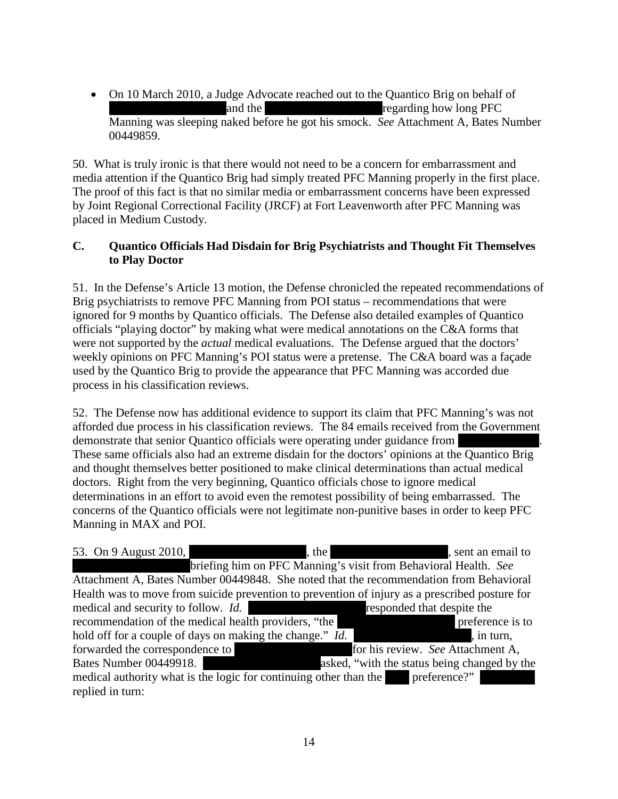• On 10 March 2010, a Judge Advocate reached out to the Quantico Brig on behalf of \*\*\*\*\*\*Redacted\*\*\*\*\*\*and the \*\*\*\*\*\*Redacted\*\*\*\*\*\*regarding how long PFC Manning was sleeping naked before he got his smock. *See* Attachment A, Bates Number 00449859.

50. What is truly ironic is that there would not need to be a concern for embarrassment and media attention if the Quantico Brig had simply treated PFC Manning properly in the first place. The proof of this fact is that no similar media or embarrassment concerns have been expressed by Joint Regional Correctional Facility (JRCF) at Fort Leavenworth after PFC Manning was placed in Medium Custody.

#### **C. Quantico Officials Had Disdain for Brig Psychiatrists and Thought Fit Themselves to Play Doctor**

51. In the Defense's Article 13 motion, the Defense chronicled the repeated recommendations of Brig psychiatrists to remove PFC Manning from POI status – recommendations that were ignored for 9 months by Quantico officials. The Defense also detailed examples of Quantico officials "playing doctor" by making what were medical annotations on the C&A forms that were not supported by the *actual* medical evaluations. The Defense argued that the doctors' weekly opinions on PFC Manning's POI status were a pretense. The C&A board was a façade used by the Quantico Brig to provide the appearance that PFC Manning was accorded due process in his classification reviews.

52. The Defense now has additional evidence to support its claim that PFC Manning's was not afforded due process in his classification reviews. The 84 emails received from the Government demonstrate that senior Quantico officials were operating under guidance from These same officials also had an extreme disdain for the doctors' opinions at the Quantico Brig and thought themselves better positioned to make clinical determinations than actual medical doctors. Right from the very beginning, Quantico officials chose to ignore medical determinations in an effort to avoid even the remotest possibility of being embarrassed. The concerns of the Quantico officials were not legitimate non-punitive bases in order to keep PFC Manning in MAX and POI.

53. On 9 August 2010, \*\*\*\*\*\*\*\*\*\*\*\*\*\*\*\*, the \*\*\*\*\*\*\*\*\*\*\*\*, sent an email to briefing him on PFC Manning's visit from Behavioral Health. *See* Attachment A, Bates Number 00449848. She noted that the recommendation from Behavioral Health was to move from suicide prevention to prevention of injury as a prescribed posture for medical and security to follow. *Id.* \*\*\*\*\*\*Redacted\*\*\*\*\*\*responded that despite the recommendation of the medical health providers, "the \*\*\*\*\*\*\*\*\*\*\*\*\* preference is to hold off for a couple of days on making the change." *Id.* , in turn, forwarded the correspondence to \*\*\*\*\*\*Redacted\*\*\*\*\*\*for his review. *See* Attachment A, Bates Number 00449918. \*\*\*\*\*\*Redacted\*\*\*\*\*\*asked, "with the status being changed by the medical authority what is the logic for continuing other than the \*\*\*\* preference?" replied in turn: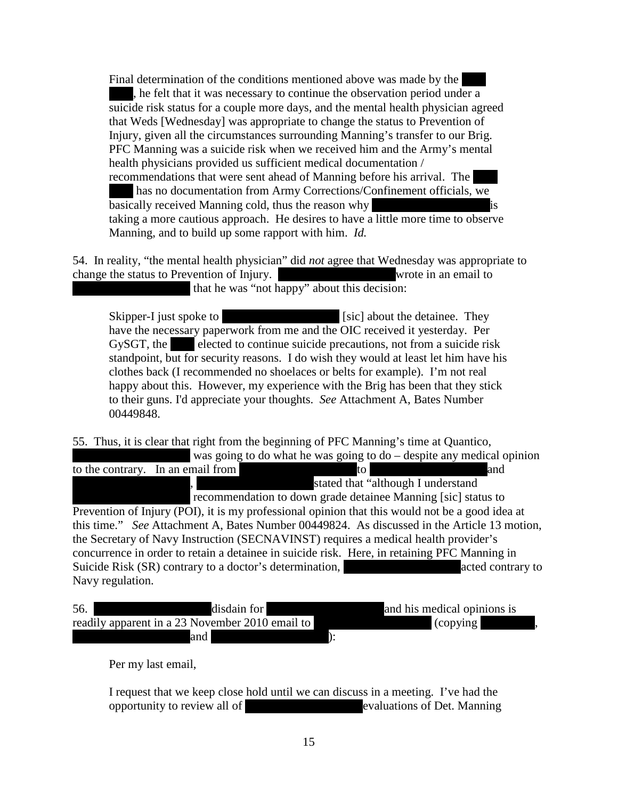Final determination of the conditions mentioned above was made by the , he felt that it was necessary to continue the observation period under a suicide risk status for a couple more days, and the mental health physician agreed that Weds [Wednesday] was appropriate to change the status to Prevention of Injury, given all the circumstances surrounding Manning's transfer to our Brig. PFC Manning was a suicide risk when we received him and the Army's mental health physicians provided us sufficient medical documentation / recommendations that were sent ahead of Manning before his arrival. The has no documentation from Army Corrections/Confinement officials, we basically received Manning cold, thus the reason why taking a more cautious approach. He desires to have a little more time to observe Manning, and to build up some rapport with him. *Id.*

54. In reality, "the mental health physician" did *not* agree that Wednesday was appropriate to change the status to Prevention of Injury. Wrote in an email to that he was "not happy" about this decision:

Skipper-I just spoke to \*\*\*\*\*\*\*\*\*\*\*\*\*\*\*\*\*\*\*\*\* [sic] about the detainee. They have the necessary paperwork from me and the OIC received it yesterday. Per GySGT, the  $\blacksquare$  elected to continue suicide precautions, not from a suicide risk standpoint, but for security reasons. I do wish they would at least let him have his clothes back (I recommended no shoelaces or belts for example). I'm not real happy about this. However, my experience with the Brig has been that they stick to their guns. I'd appreciate your thoughts. *See* Attachment A, Bates Number 00449848.

55. Thus, it is clear that right from the beginning of PFC Manning's time at Quantico,

was going to do what he was going to do – despite any medical opinion to the contrary. In an email from  $\blacksquare$  to  $\blacksquare$  to  $\blacksquare$ stated that "although I understand" recommendation to down grade detainee Manning [sic] status to Prevention of Injury (POI), it is my professional opinion that this would not be a good idea at this time." *See* Attachment A, Bates Number 00449824. As discussed in the Article 13 motion, the Secretary of Navy Instruction (SECNAVINST) requires a medical health provider's concurrence in order to retain a detainee in suicide risk. Here, in retaining PFC Manning in Suicide Risk (SR) contrary to a doctor's determination, \*\*\*\*\*\*Redacted\*\*\*\*\*\*acted contrary to Navy regulation.

| 56.<br>disdain for                                             | and his medical opinions is |  |
|----------------------------------------------------------------|-----------------------------|--|
| readily apparent in a 23 November 2010 email to $\blacksquare$ | (copying)                   |  |
| and                                                            |                             |  |

Per my last email,

I request that we keep close hold until we can discuss in a meeting. I've had the opportunity to review all of \*\*\*\*\*\*Redacted\*\*\*\*\*\*evaluations of Det. Manning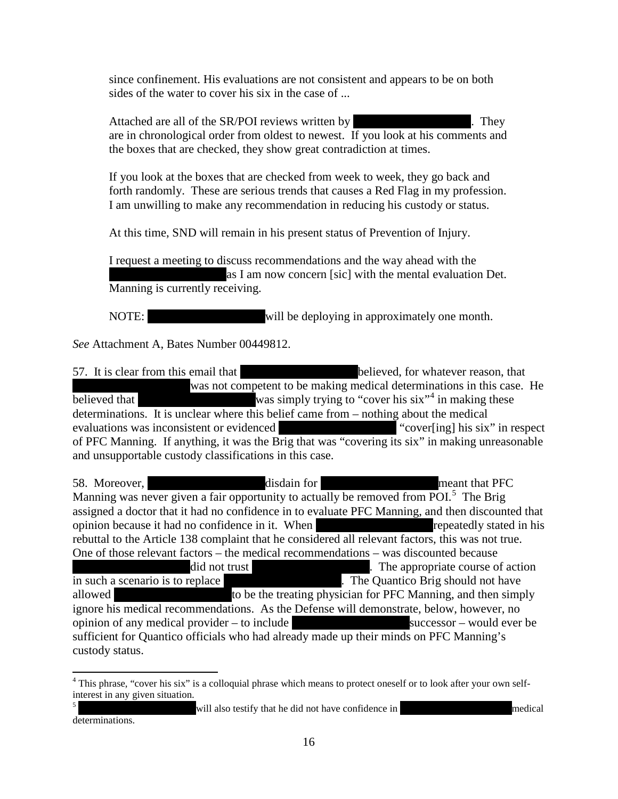since confinement. His evaluations are not consistent and appears to be on both sides of the water to cover his six in the case of ...

Attached are all of the SR/POI reviews written by  $\blacksquare$  They are in chronological order from oldest to newest. If you look at his comments and the boxes that are checked, they show great contradiction at times.

If you look at the boxes that are checked from week to week, they go back and forth randomly. These are serious trends that causes a Red Flag in my profession. I am unwilling to make any recommendation in reducing his custody or status.

At this time, SND will remain in his present status of Prevention of Injury.

I request a meeting to discuss recommendations and the way ahead with the as I am now concern [sic] with the mental evaluation Det. Manning is currently receiving.

NOTE: will be deploying in approximately one month.

*See* Attachment A, Bates Number 00449812.

57. It is clear from this email that  $\qquad \qquad$  believed, for whatever reason, that was not competent to be making medical determinations in this case. He believed that  $\frac{1}{\sqrt{2\pi}}$  was simply trying to "cover his six"<sup>[4](#page-15-0)</sup> in making these determinations. It is unclear where this belief came from – nothing about the medical evaluations was inconsistent or evidenced "cover[ing] his six" in respect evaluations was inconsistent or evidenced of PFC Manning. If anything, it was the Brig that was "covering its six" in making unreasonable and unsupportable custody classifications in this case.

58. Moreover, \*\*\*\*\*\*Redacted\*\*\*\*\*\*disdain for \*\*\*\*\*\*Redacted\*\*\*\*\*\*meant that PFC Manning was never given a fair opportunity to actually be removed from POI. $5$  The Brig assigned a doctor that it had no confidence in to evaluate PFC Manning, and then discounted that opinion because it had no confidence in it. When \*\*\*\*\*\*Redacted\*\*\*\*\*\*repeatedly stated in his rebuttal to the Article 138 complaint that he considered all relevant factors, this was not true. One of those relevant factors – the medical recommendations – was discounted because did not trust  $\begin{array}{c} \hline \text{Hence} \\ \hline \text{Hence} \end{array}$ . The appropriate course of action in such a scenario is to replace  $\blacksquare$  The Quantico Brig should not have allowed to be the treating physician for PFC Manning, and then simply ignore his medical recommendations. As the Defense will demonstrate, below, however, no opinion of any medical provider – to include  $\frac{1}{\sqrt{2\pi}}$  successor – would ever be sufficient for Quantico officials who had already made up their minds on PFC Manning's custody status.

<span id="page-15-0"></span><sup>&</sup>lt;sup>4</sup> This phrase, "cover his six" is a colloquial phrase which means to protect oneself or to look after your own selfinterest in any given situation.

<span id="page-15-1"></span><sup>5</sup> \*\*\*\*\*\*Redacted\*\*\*\*\*\*will also testify that he did not have confidence in \*\*\*\*\*\*Redacted\*\*\*\*\*medical determinations.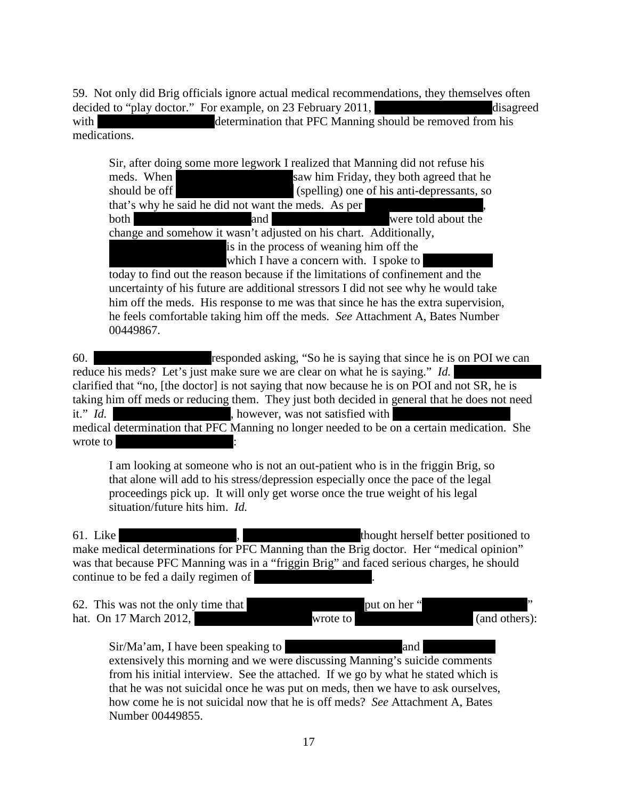59. Not only did Brig officials ignore actual medical recommendations, they themselves often decided to "play doctor." For example, on 23 February 2011,  $\qquad \qquad$  disagreed

with \*\*\*\*\*\*Redacted\*\*\*\*\*\*determination that PFC Manning should be removed from his medications.

Sir, after doing some more legwork I realized that Manning did not refuse his meds. When \*\*\*\*\*\*Redacted\*\*\*\*\*\*saw him Friday, they both agreed that he should be off \*\*\*\*\*\*Redacted\*\*\*\*\*\* (spelling) one of his anti-depressants, so that's why he said he did not want the meds. As per both  $\blacksquare$  and  $\blacksquare$  and  $\blacksquare$  were told about the change and somehow it wasn't adjusted on his chart. Additionally, is in the process of weaning him off the which I have a concern with. I spoke to today to find out the reason because if the limitations of confinement and the

uncertainty of his future are additional stressors I did not see why he would take him off the meds. His response to me was that since he has the extra supervision, he feels comfortable taking him off the meds. *See* Attachment A, Bates Number 00449867.

60. \*\*\*\*\*\*Redacted\*\*\*\*\*\*responded asking, "So he is saying that since he is on POI we can reduce his meds? Let's just make sure we are clear on what he is saying." *Id.* clarified that "no, [the doctor] is not saying that now because he is on POI and not SR, he is taking him off meds or reducing them. They just both decided in general that he does not need it." *Id.* **however, was not satisfied with**  $\mathbf{R}^*$ medical determination that PFC Manning no longer needed to be on a certain medication. She wrote to  $\mathbf{\mathbb{R}}$ 

I am looking at someone who is not an out-patient who is in the friggin Brig, so that alone will add to his stress/depression especially once the pace of the legal proceedings pick up. It will only get worse once the true weight of his legal situation/future hits him. *Id.*

61. Like \*\*\*\*\*\*Redacted\*\*\*\*\*\*, \*\*\*\*\*\*Redacted\*\*\*\*\*\*thought herself better positioned to make medical determinations for PFC Manning than the Brig doctor. Her "medical opinion" was that because PFC Manning was in a "friggin Brig" and faced serious charges, he should continue to be fed a daily regimen of

62. This was not the only time that \*\*\*\*\*\*Redacted\*\*\*\*\*\*put on her "\*\*\*\*\*Redacted\*\*\*\*\*" hat. On 17 March 2012, \*\*\*\*\*\*Redacted\*\*\*\*\*\*wrote to \*\*\*\*\*\*Redacted\*\*\*\*\*\* (and others):

Sir/Ma'am, I have been speaking to \*\*\*\*\*\*Redacted\*\*\*\*\*\*and \*\*\*\*\*\*\*\*\*\*\*\* extensively this morning and we were discussing Manning's suicide comments from his initial interview. See the attached. If we go by what he stated which is that he was not suicidal once he was put on meds, then we have to ask ourselves, how come he is not suicidal now that he is off meds? *See* Attachment A, Bates Number 00449855.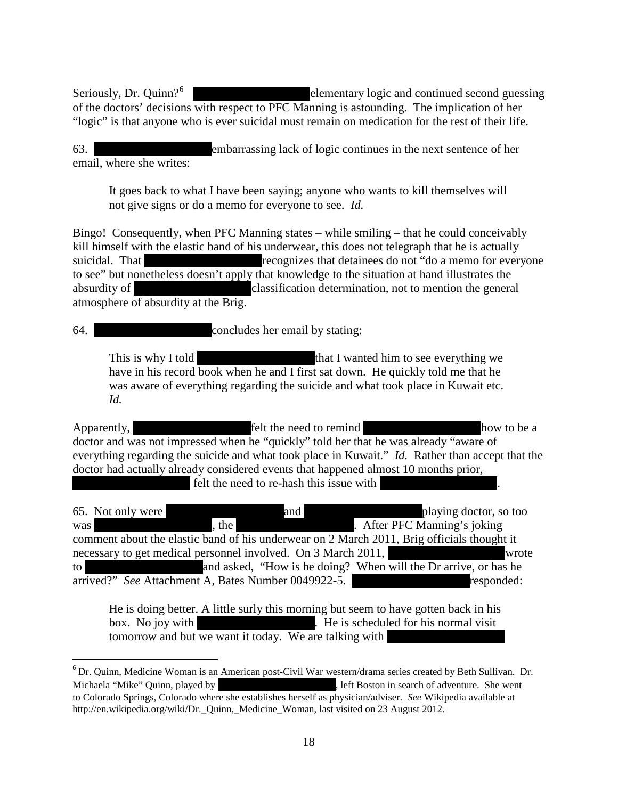Seriously, Dr. Quinn?<sup>[6](#page-17-0)</sup> elementary logic and continued second guessing of the doctors' decisions with respect to PFC Manning is astounding. The implication of her "logic" is that anyone who is ever suicidal must remain on medication for the rest of their life.

63. \*\*\*\*\*\*Redacted\*\*\*\*\*\*embarrassing lack of logic continues in the next sentence of her email, where she writes:

It goes back to what I have been saying; anyone who wants to kill themselves will not give signs or do a memo for everyone to see. *Id.*

Bingo! Consequently, when PFC Manning states – while smiling – that he could conceivably kill himself with the elastic band of his underwear, this does not telegraph that he is actually suicidal. That \*\*\*\*\*\*Redacted\*\*\*\*\*\*recognizes that detainees do not "do a memo for everyone to see" but nonetheless doesn't apply that knowledge to the situation at hand illustrates the absurdity of \*\*\*\*\*\*Redacted\*\*\*\*\*\*classification determination, not to mention the general atmosphere of absurdity at the Brig.

64. \*\*\*\*\*\*Redacted\*\*\*\*\*\*concludes her email by stating:

This is why I told  $\frac{1}{\pi}$  that I wanted him to see everything we have in his record book when he and I first sat down. He quickly told me that he was aware of everything regarding the suicide and what took place in Kuwait etc. *Id.*

Apparently,  $\qquad \qquad$  felt the need to remind  $\qquad \qquad$  how to be a doctor and was not impressed when he "quickly" told her that he was already "aware of everything regarding the suicide and what took place in Kuwait." *Id.* Rather than accept that the doctor had actually already considered events that happened almost 10 months prior, felt the need to re-hash this issue with

65. Not only were  $\qquad \qquad \text{and} \qquad \qquad \text{playing doctor, so too}$ was \*\*\*\*\*\*Redacted\*\*\*\*\*\*, the \*\*\*\*\*\*Redacted\*\*\*\*\*\*. After PFC Manning's joking comment about the elastic band of his underwear on 2 March 2011, Brig officials thought it necessary to get medical personnel involved. On 3 March 2011, wrote to  $\frac{1}{\pi}$  and asked, "How is he doing? When will the Dr arrive, or has he arrived?" *See* Attachment A, Bates Number 0049922-5. \*\*\*\*\*\*Redacted\*\*\*\*\*\*responded:

He is doing better. A little surly this morning but seem to have gotten back in his box. No joy with  $\mathbf{R}^*$  is scheduled for his normal visit tomorrow and but we want it today. We are talking with

<span id="page-17-0"></span> $6$  Dr. Quinn, Medicine Woman is an American post[-Civil War](http://en.wikipedia.org/wiki/American_Civil_War) [western](http://en.wikipedia.org/wiki/Western_(genre))[/drama series](http://en.wikipedia.org/wiki/Dramatic_programming) created by Beth Sullivan. Dr. Michaela "Mike" Quinn, played by \*\*\*\*\*\*\*\*\*\*\*\*\*\*\*\*\*\*, left Boston in search of adventure. She went to [Colorado Springs, Colorado](http://en.wikipedia.org/wiki/Colorado_Springs,_Colorado) where she establishes herself as physician/adviser. *See* Wikipedia available at http://en.wikipedia.org/wiki/Dr. Quinn, Medicine Woman, last visited on 23 August 2012.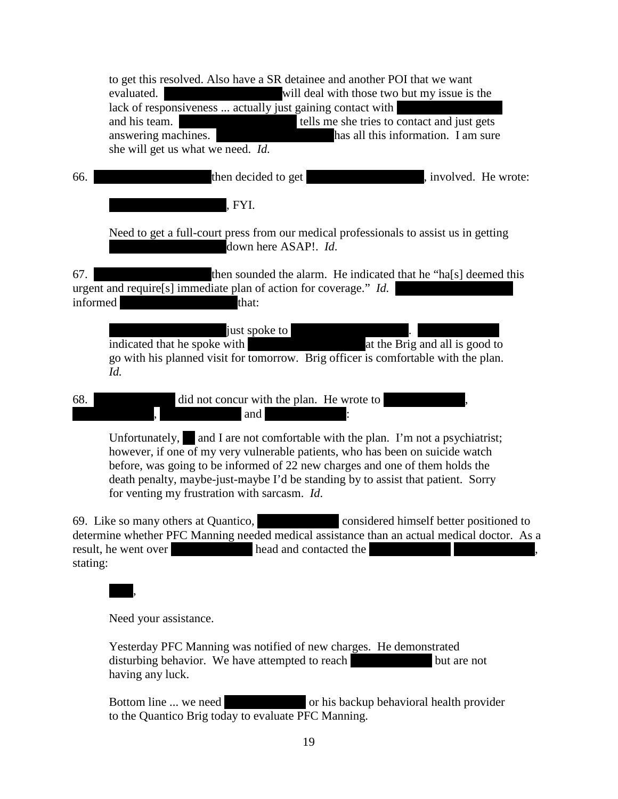|                 | to get this resolved. Also have a SR detainee and another POI that we want<br>will deal with those two but my issue is the<br>evaluated.<br>lack of responsiveness  actually just gaining contact with<br>tells me she tries to contact and just gets<br>and his team.<br>answering machines.<br>has all this information. I am sure<br>she will get us what we need. Id.                                                                                                                                                                                                                                                     |
|-----------------|-------------------------------------------------------------------------------------------------------------------------------------------------------------------------------------------------------------------------------------------------------------------------------------------------------------------------------------------------------------------------------------------------------------------------------------------------------------------------------------------------------------------------------------------------------------------------------------------------------------------------------|
| 66.             | then decided to get<br>, involved. He wrote:                                                                                                                                                                                                                                                                                                                                                                                                                                                                                                                                                                                  |
|                 | , FYI.                                                                                                                                                                                                                                                                                                                                                                                                                                                                                                                                                                                                                        |
|                 | Need to get a full-court press from our medical professionals to assist us in getting<br>down here ASAP!. Id.                                                                                                                                                                                                                                                                                                                                                                                                                                                                                                                 |
| 67.<br>informed | then sounded the alarm. He indicated that he "ha[s] deemed this<br>urgent and require[s] immediate plan of action for coverage." Id.<br>that:                                                                                                                                                                                                                                                                                                                                                                                                                                                                                 |
|                 | just spoke to<br>at the Brig and all is good to<br>indicated that he spoke with<br>go with his planned visit for tomorrow. Brig officer is comfortable with the plan.<br>Id.                                                                                                                                                                                                                                                                                                                                                                                                                                                  |
| 68.             | did not concur with the plan. He wrote to<br>and                                                                                                                                                                                                                                                                                                                                                                                                                                                                                                                                                                              |
|                 | Unfortunately, and I are not comfortable with the plan. I'm not a psychiatrist;<br>however, if one of my very vulnerable patients, who has been on suicide watch<br>before, was going to be informed of 22 new charges and one of them holds the<br>death penalty, maybe-just-maybe I'd be standing by to assist that patient. Sorry<br>for venting my frustration with sarcasm. Id.                                                                                                                                                                                                                                          |
|                 | considered himself better positioned to<br>69. Like so many others at Quantico,<br>$\mathbf{r} = \mathbf{r} \mathbf{u} + \mathbf{r} \mathbf{r} \mathbf{r} \mathbf{r} \mathbf{r} \mathbf{r} \mathbf{r} \mathbf{r} \mathbf{r} \mathbf{r} \mathbf{r} \mathbf{r} \mathbf{r} \mathbf{r} \mathbf{r} \mathbf{r} \mathbf{r} \mathbf{r} \mathbf{r} \mathbf{r} \mathbf{r} \mathbf{r} \mathbf{r} \mathbf{r} \mathbf{r} \mathbf{r} \mathbf{r} \mathbf{r} \mathbf{r} \mathbf{r} \mathbf{r} \mathbf{r} \mathbf{r} \math$<br>the contract of the contract of the contract of the contract of the contract of the contract of the contract of |

determine whether PFC Manning needed medical assistance than an actual medical doctor. As a result, he went over result, he went over stating:

Need your assistance.

 $\overline{\phantom{a}}$ ,

Yesterday PFC Manning was notified of new charges. He demonstrated disturbing behavior. We have attempted to reach  $\bullet$  but are not having any luck.

Bottom line ... we need \*\*\*\*\* or his backup behavioral health provider to the Quantico Brig today to evaluate PFC Manning.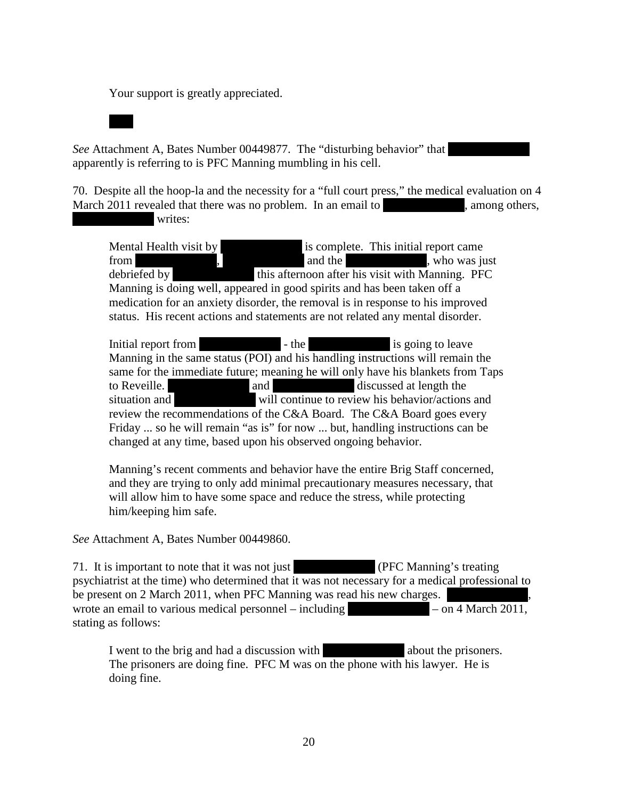Your support is greatly appreciated.

*See* Attachment A, Bates Number 00449877. The "disturbing behavior" that apparently is referring to is PFC Manning mumbling in his cell.

70. Despite all the hoop-la and the necessity for a "full court press," the medical evaluation on 4 March 2011 revealed that there was no problem. In an email to  $\blacksquare$ , among others, writes:

Mental Health visit by \*\*\*\* is complete. This initial report came from  $\qquad \qquad$ , and the  $\qquad \qquad$ , who was just debriefed by  $\qquad$  this afternoon after his visit with Manning. PFC Manning is doing well, appeared in good spirits and has been taken off a medication for an anxiety disorder, the removal is in response to his improved status. His recent actions and statements are not related any mental disorder.

Initial report from  $\qquad \qquad$  - the  $\qquad \qquad$  is going to leave Manning in the same status (POI) and his handling instructions will remain the same for the immediate future; meaning he will only have his blankets from Taps to Reveille. \*\*\*\* and \*\*\* and \*\*\* discussed at length the situation and \*\*\*\* will continue to review his behavior/actions and review the recommendations of the C&A Board. The C&A Board goes every Friday ... so he will remain "as is" for now ... but, handling instructions can be changed at any time, based upon his observed ongoing behavior.

Manning's recent comments and behavior have the entire Brig Staff concerned, and they are trying to only add minimal precautionary measures necessary, that will allow him to have some space and reduce the stress, while protecting him/keeping him safe.

*See* Attachment A, Bates Number 00449860.

71. It is important to note that it was not just **FRC Manning's treating** psychiatrist at the time) who determined that it was not necessary for a medical professional to be present on 2 March 2011, when PFC Manning was read his new charges. wrote an email to various medical personnel – including  $-$  – on 4 March 2011, stating as follows:

I went to the brig and had a discussion with \*\*\* The prisoners are doing fine. PFC M was on the phone with his lawyer. He is doing fine.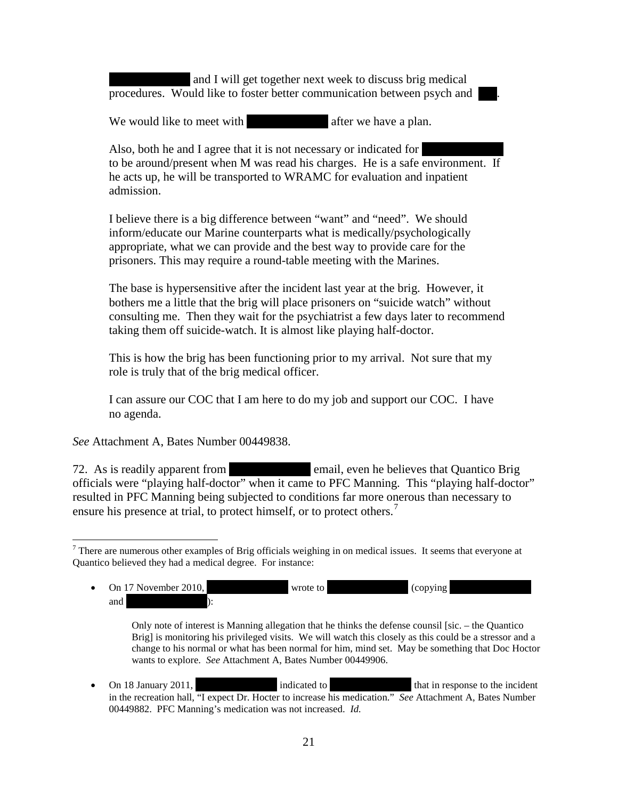and I will get together next week to discuss brig medical procedures. Would like to foster better communication between psych and

We would like to meet with  $\blacksquare$  after we have a plan.

Also, both he and I agree that it is not necessary or indicated for to be around/present when M was read his charges. He is a safe environment. If he acts up, he will be transported to WRAMC for evaluation and inpatient admission.

I believe there is a big difference between "want" and "need". We should inform/educate our Marine counterparts what is medically/psychologically appropriate, what we can provide and the best way to provide care for the prisoners. This may require a round-table meeting with the Marines.

The base is hypersensitive after the incident last year at the brig. However, it bothers me a little that the brig will place prisoners on "suicide watch" without consulting me. Then they wait for the psychiatrist a few days later to recommend taking them off suicide-watch. It is almost like playing half-doctor.

This is how the brig has been functioning prior to my arrival. Not sure that my role is truly that of the brig medical officer.

I can assure our COC that I am here to do my job and support our COC. I have no agenda.

*See* Attachment A, Bates Number 00449838.

72. As is readily apparent from \*\*\*\* email, even he believes that Quantico Brig officials were "playing half-doctor" when it came to PFC Manning. This "playing half-doctor" resulted in PFC Manning being subjected to conditions far more onerous than necessary to ensure his presence at trial, to protect himself, or to protect others.<sup>[7](#page-20-0)</sup>

<span id="page-20-0"></span> $7$  There are numerous other examples of Brig officials weighing in on medical issues. It seems that everyone at Quantico believed they had a medical degree. For instance:

On 17 November 2010, \*\*\*\*\* wrote to \*\*\*\*\* (copying \*\*\* and  $\qquad$ :

Only note of interest is Manning allegation that he thinks the defense counsil [sic. – the Quantico Brig] is monitoring his privileged visits. We will watch this closely as this could be a stressor and a change to his normal or what has been normal for him, mind set. May be something that Doc Hoctor wants to explore. *See* Attachment A, Bates Number 00449906.

On 18 January 2011,  $\qquad \qquad$  indicated to  $\qquad \qquad$  that in response to the incident in the recreation hall, "I expect Dr. Hocter to increase his medication." *See* Attachment A, Bates Number 00449882. PFC Manning's medication was not increased. *Id.*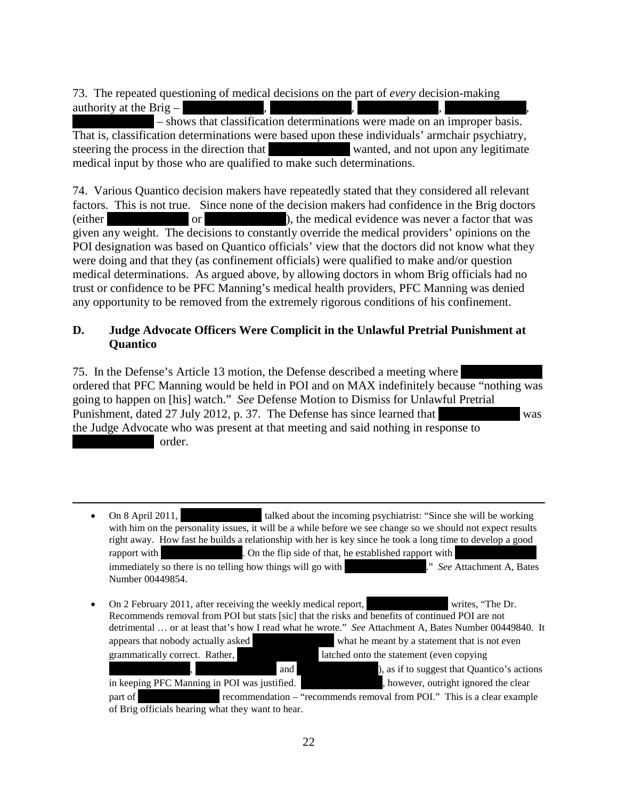73. The repeated questioning of medical decisions on the part of *every* decision-making authority at the Brig –

- shows that classification determinations were made on an improper basis. That is, classification determinations were based upon these individuals' armchair psychiatry, steering the process in the direction that \*\*\* medical input by those who are qualified to make such determinations.

74. Various Quantico decision makers have repeatedly stated that they considered all relevant factors. This is not true. Since none of the decision makers had confidence in the Brig doctors  $\alpha^*$  or  $\alpha^*$  or  $\alpha^*$ , the medical evidence was never a factor that was never a factor that was  $\alpha^*$ given any weight. The decisions to constantly override the medical providers' opinions on the POI designation was based on Quantico officials' view that the doctors did not know what they were doing and that they (as confinement officials) were qualified to make and/or question medical determinations. As argued above, by allowing doctors in whom Brig officials had no trust or confidence to be PFC Manning's medical health providers, PFC Manning was denied any opportunity to be removed from the extremely rigorous conditions of his confinement.

#### **D. Judge Advocate Officers Were Complicit in the Unlawful Pretrial Punishment at Quantico**

75. In the Defense's Article 13 motion, the Defense described a meeting where ordered that PFC Manning would be held in POI and on MAX indefinitely because "nothing was going to happen on [his] watch." *See* Defense Motion to Dismiss for Unlawful Pretrial Punishment, dated 27 July 2012, p. 37. The Defense has since learned that was the Judge Advocate who was present at that meeting and said nothing in response to order.

 $\overline{\phantom{a}}$ 

|   | On 8 April 2011,<br>talked about the incoming psychiatrist: "Since she will be working<br>with him on the personality issues, it will be a while before we see change so we should not expect results<br>right away. How fast he builds a relationship with her is key since he took a long time to develop a good<br>. On the flip side of that, he established rapport with<br>rapport with<br>" See Attachment A, Bates<br>immediately so there is no telling how things will go with<br>Number 00449854. |
|---|--------------------------------------------------------------------------------------------------------------------------------------------------------------------------------------------------------------------------------------------------------------------------------------------------------------------------------------------------------------------------------------------------------------------------------------------------------------------------------------------------------------|
| ٠ | On 2 February 2011, after receiving the weekly medical report,<br>writes, "The Dr.<br>Recommends removal from POI but stats [sic] that the risks and benefits of continued POI are not<br>detrimental  or at least that's how I read what he wrote." See Attachment A, Bates Number 00449840. It<br>what he meant by a statement that is not even<br>appears that nobody actually asked                                                                                                                      |
|   | grammatically correct. Rather,<br>latched onto the statement (even copying                                                                                                                                                                                                                                                                                                                                                                                                                                   |
|   | and<br>), as if to suggest that Quantico's actions                                                                                                                                                                                                                                                                                                                                                                                                                                                           |
|   | , however, outright ignored the clear<br>in keeping PFC Manning in POI was justified.                                                                                                                                                                                                                                                                                                                                                                                                                        |
|   | recommendation – "recommends removal from POI." This is a clear example<br>part of                                                                                                                                                                                                                                                                                                                                                                                                                           |
|   | of Brig officials hearing what they want to hear.                                                                                                                                                                                                                                                                                                                                                                                                                                                            |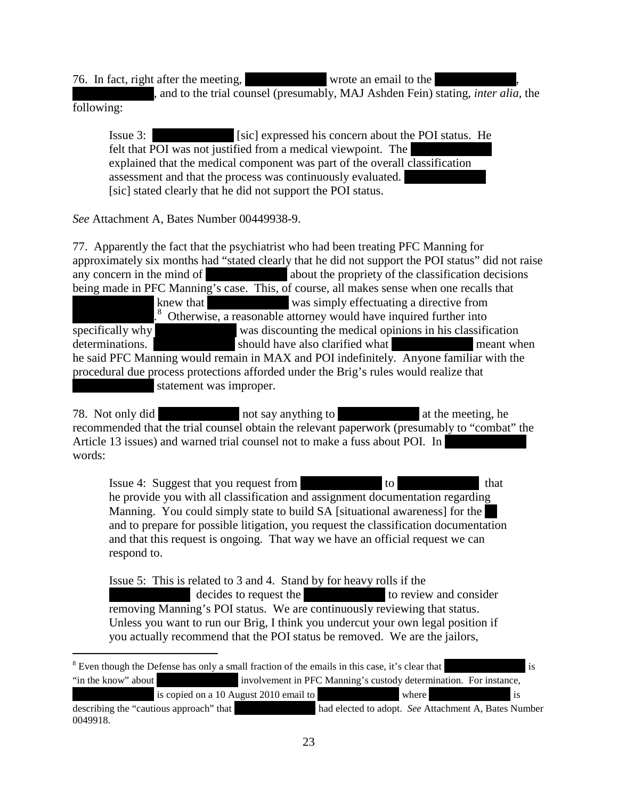76. In fact, right after the meeting, \*\*\* , and to the trial counsel (presumably, MAJ Ashden Fein) stating, *inter alia*, the following:

Issue 3:  $\left[ \text{sic} \right]$  expressed his concern about the POI status. He felt that POI was not justified from a medical viewpoint. The explained that the medical component was part of the overall classification assessment and that the process was continuously evaluated. [sic] stated clearly that he did not support the POI status.

*See* Attachment A, Bates Number 00449938-9.

 $\overline{\phantom{a}}$ 

77. Apparently the fact that the psychiatrist who had been treating PFC Manning for approximately six months had "stated clearly that he did not support the POI status" did not raise any concern in the mind of \*\*\*\* about the propriety of the classification decisions being made in PFC Manning's case. This, of course, all makes sense when one recalls that knew that \*\*\* \*\*\* was simply effectuating a directive from  $\mathbb{R}^n$ [8](#page-22-0) Otherwise, a reasonable attorney would have inquired further into specifically why was discounting the medical opinions in his classification determinations. \*\*\*\* should have also clarified what \*\*\* meant when he said PFC Manning would remain in MAX and POI indefinitely. Anyone familiar with the procedural due process protections afforded under the Brig's rules would realize that statement was improper.

78. Not only did \*\*\* recommended that the trial counsel obtain the relevant paperwork (presumably to "combat" the Article 13 issues) and warned trial counsel not to make a fuss about POI. In words:

Issue 4: Suggest that you request from  $\blacksquare$  to  $\blacksquare$  that he provide you with all classification and assignment documentation regarding Manning. You could simply state to build SA [situational awareness] for the and to prepare for possible litigation, you request the classification documentation and that this request is ongoing. That way we have an official request we can respond to.

Issue 5: This is related to 3 and 4. Stand by for heavy rolls if the decides to request the \*\*\*\*\*\* to review and consider removing Manning's POI status. We are continuously reviewing that status. Unless you want to run our Brig, I think you undercut your own legal position if you actually recommend that the POI status be removed. We are the jailors,

<span id="page-22-0"></span>

| <sup>8</sup> Even though the Defense has only a small fraction of the emails in this case, it's clear that |                                        |                                                                   |       |      |
|------------------------------------------------------------------------------------------------------------|----------------------------------------|-------------------------------------------------------------------|-------|------|
| "in the know" about                                                                                        |                                        | involvement in PFC Manning's custody determination. For instance, |       |      |
|                                                                                                            | is copied on a 10 August 2010 email to |                                                                   | where | l is |
| describing the "cautious approach" that                                                                    |                                        | had elected to adopt. See Attachment A, Bates Number              |       |      |
| 0049918.                                                                                                   |                                        |                                                                   |       |      |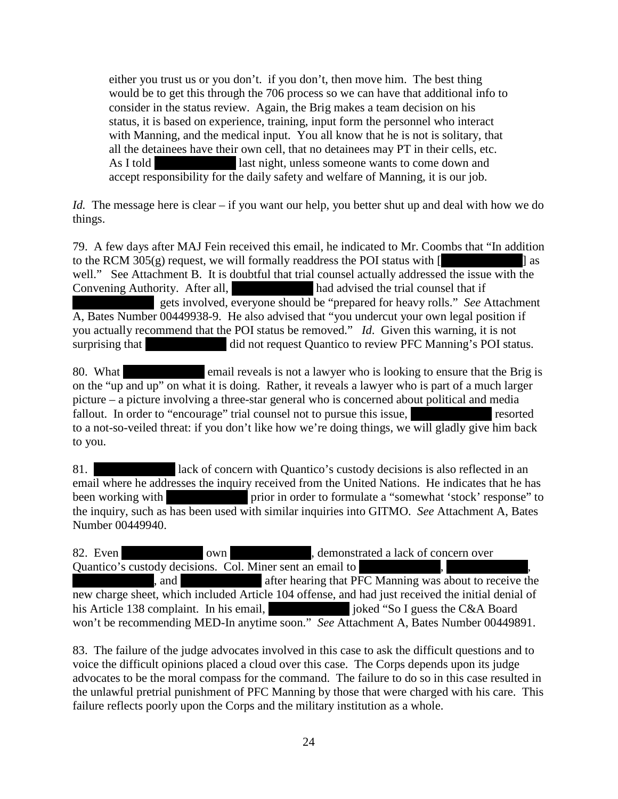either you trust us or you don't. if you don't, then move him. The best thing would be to get this through the 706 process so we can have that additional info to consider in the status review. Again, the Brig makes a team decision on his status, it is based on experience, training, input form the personnel who interact with Manning, and the medical input. You all know that he is not is solitary, that all the detainees have their own cell, that no detainees may PT in their cells, etc. As I told **EXECUTE:** last night, unless someone wants to come down and accept responsibility for the daily safety and welfare of Manning, it is our job.

*Id.* The message here is clear – if you want our help, you better shut up and deal with how we do things.

79. A few days after MAJ Fein received this email, he indicated to Mr. Coombs that "In addition to the RCM 305(g) request, we will formally readdress the POI status with  $\lceil$  as well." See Attachment B. It is doubtful that trial counsel actually addressed the issue with the Convening Authority. After all, \*\*\*\* had advised the trial counsel that if gets involved, everyone should be "prepared for heavy rolls." *See* Attachment A, Bates Number 00449938-9. He also advised that "you undercut your own legal position if you actually recommend that the POI status be removed." *Id*. Given this warning, it is not surprising that \*\*\*\* did not request Quantico to review PFC Manning's POI status.

80. What \*\*\* email reveals is not a lawyer who is looking to ensure that the Brig is on the "up and up" on what it is doing. Rather, it reveals a lawyer who is part of a much larger picture – a picture involving a three-star general who is concerned about political and media fallout. In order to "encourage" trial counsel not to pursue this issue, the second resorted to a not-so-veiled threat: if you don't like how we're doing things, we will gladly give him back to you.

81. \*\*\* lack of concern with Quantico's custody decisions is also reflected in an email where he addresses the inquiry received from the United Nations. He indicates that he has been working with \*\*\*\* prior in order to formulate a "somewhat 'stock' response" to the inquiry, such as has been used with similar inquiries into GITMO. *See* Attachment A, Bates Number 00449940.

82. Even \*\*\* own \*\*\*, demonstrated a lack of concern over Quantico's custody decisions. Col. Miner sent an email to  $^{\parallel}$ , and after hearing that  $\overline{PFC}$  Manning was about to receive the new charge sheet, which included Article 104 offense, and had just received the initial denial of his Article 138 complaint. In his email, \*\*\*\* joked "So I guess the C&A Board" won't be recommending MED-In anytime soon." *See* Attachment A, Bates Number 00449891.

83. The failure of the judge advocates involved in this case to ask the difficult questions and to voice the difficult opinions placed a cloud over this case. The Corps depends upon its judge advocates to be the moral compass for the command. The failure to do so in this case resulted in the unlawful pretrial punishment of PFC Manning by those that were charged with his care. This failure reflects poorly upon the Corps and the military institution as a whole.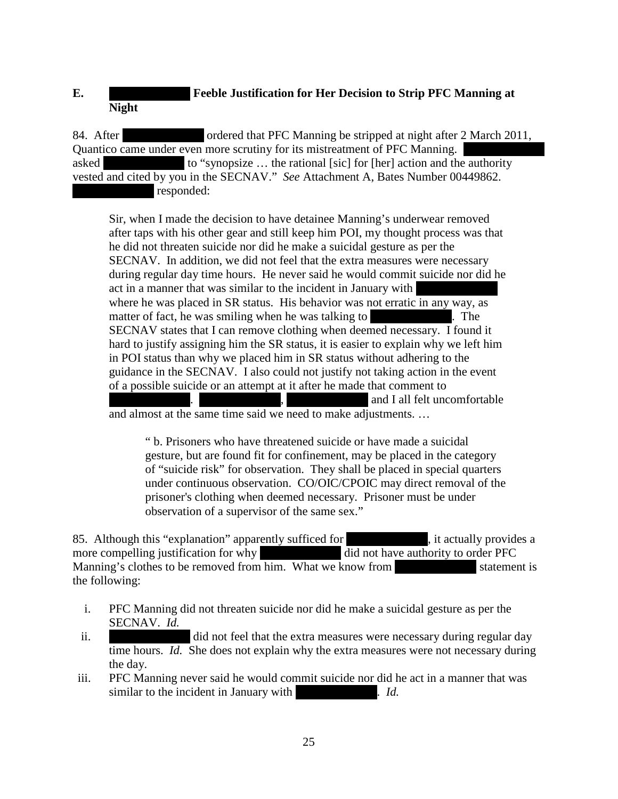# **E. Feeble Justification for Her Decision to Strip PFC Manning at Night**

84. After \*\*\* ordered that PFC Manning be stripped at night after 2 March 2011, Quantico came under even more scrutiny for its mistreatment of PFC Manning. asked to "synopsize  $\ldots$  the rational [sic] for [her] action and the authority vested and cited by you in the SECNAV." *See* Attachment A, Bates Number 00449862. responded:

Sir, when I made the decision to have detainee Manning's underwear removed after taps with his other gear and still keep him POI, my thought process was that he did not threaten suicide nor did he make a suicidal gesture as per the SECNAV. In addition, we did not feel that the extra measures were necessary during regular day time hours. He never said he would commit suicide nor did he act in a manner that was similar to the incident in January with where he was placed in SR status. His behavior was not erratic in any way, as matter of fact, he was smiling when he was talking to  $\blacksquare$ . The SECNAV states that I can remove clothing when deemed necessary. I found it hard to justify assigning him the SR status, it is easier to explain why we left him in POI status than why we placed him in SR status without adhering to the guidance in the SECNAV. I also could not justify not taking action in the event of a possible suicide or an attempt at it after he made that comment to and I all felt uncomfortable

and almost at the same time said we need to make adjustments. …

" b. Prisoners who have threatened suicide or have made a suicidal gesture, but are found fit for confinement, may be placed in the category of "suicide risk" for observation. They shall be placed in special quarters under continuous observation. CO/OIC/CPOIC may direct removal of the prisoner's clothing when deemed necessary. Prisoner must be under observation of a supervisor of the same sex."

85. Although this "explanation" apparently sufficed for  $\ddot{\phantom{a}}$ , it actually provides a more compelling justification for why  $\ddot{\text{did}}$  not have authority to order PFC Manning's clothes to be removed from him. What we know from  $\blacksquare$  statement is the following:

- i. PFC Manning did not threaten suicide nor did he make a suicidal gesture as per the SECNAV. *Id.*
- ii. \*\*\*\* did not feel that the extra measures were necessary during regular day time hours. *Id.* She does not explain why the extra measures were not necessary during the day.
- iii. PFC Manning never said he would commit suicide nor did he act in a manner that was similar to the incident in January with \*\*\*. *Id.*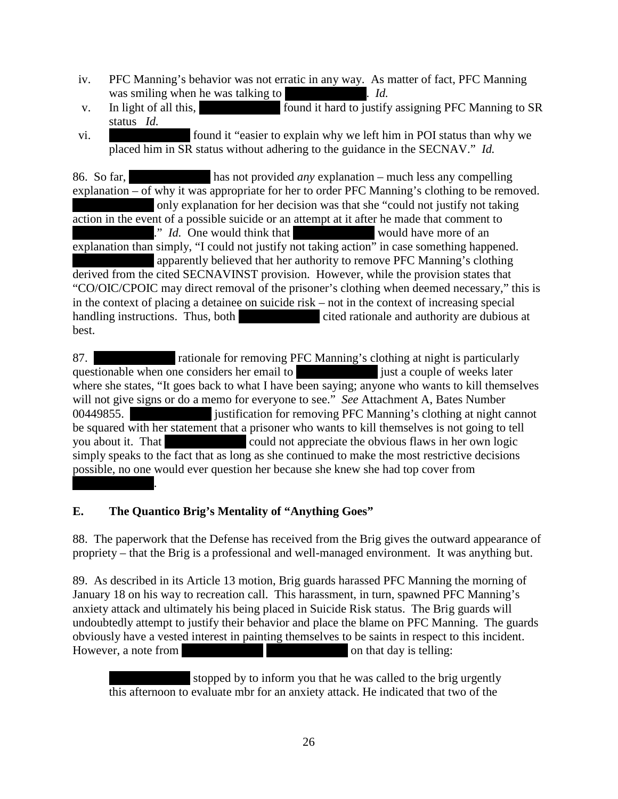- iv. PFC Manning's behavior was not erratic in any way. As matter of fact, PFC Manning was smiling when he was talking to  $Id.$
- v. In light of all this, \*\*\*\* found it hard to justify assigning PFC Manning to SR status *Id.*
- vi. \*\*\* found it "easier to explain why we left him in POI status than why we placed him in SR status without adhering to the guidance in the SECNAV." *Id.*

86. So far, \*\*\*\* has not provided *any* explanation – much less any compelling explanation – of why it was appropriate for her to order PFC Manning's clothing to be removed. only explanation for her decision was that she "could not justify not taking action in the event of a possible suicide or an attempt at it after he made that comment to <sup>\*\*</sup> *Id.* One would think that \*\*\* would have more of an explanation than simply, "I could not justify not taking action" in case something happened. apparently believed that her authority to remove PFC Manning's clothing derived from the cited SECNAVINST provision. However, while the provision states that "CO/OIC/CPOIC may direct removal of the prisoner's clothing when deemed necessary," this is in the context of placing a detainee on suicide risk – not in the context of increasing special handling instructions. Thus, both \*\*\*\* cited rationale and authority are dubious at best.

87. \*\*\* rationale for removing PFC Manning's clothing at night is particularly questionable when one considers her email to \*\*\*\*\* just a couple of weeks later where she states, "It goes back to what I have been saying; anyone who wants to kill themselves will not give signs or do a memo for everyone to see." *See* Attachment A, Bates Number 00449855. \*\*\*\* justification for removing PFC Manning's clothing at night cannot be squared with her statement that a prisoner who wants to kill themselves is not going to tell you about it. That \*\*\*\* could not appreciate the obvious flaws in her own logic simply speaks to the fact that as long as she continued to make the most restrictive decisions possible, no one would ever question her because she knew she had top cover from  $\mathbb{R}^n$ 

## **E. The Quantico Brig's Mentality of "Anything Goes"**

88. The paperwork that the Defense has received from the Brig gives the outward appearance of propriety – that the Brig is a professional and well-managed environment. It was anything but.

89. As described in its Article 13 motion, Brig guards harassed PFC Manning the morning of January 18 on his way to recreation call. This harassment, in turn, spawned PFC Manning's anxiety attack and ultimately his being placed in Suicide Risk status. The Brig guards will undoubtedly attempt to justify their behavior and place the blame on PFC Manning. The guards obviously have a vested interest in painting themselves to be saints in respect to this incident. However, a note from  $\blacksquare$  and  $\blacksquare$  and  $\blacksquare$  on that day is telling:

stopped by to inform you that he was called to the brig urgently this afternoon to evaluate mbr for an anxiety attack. He indicated that two of the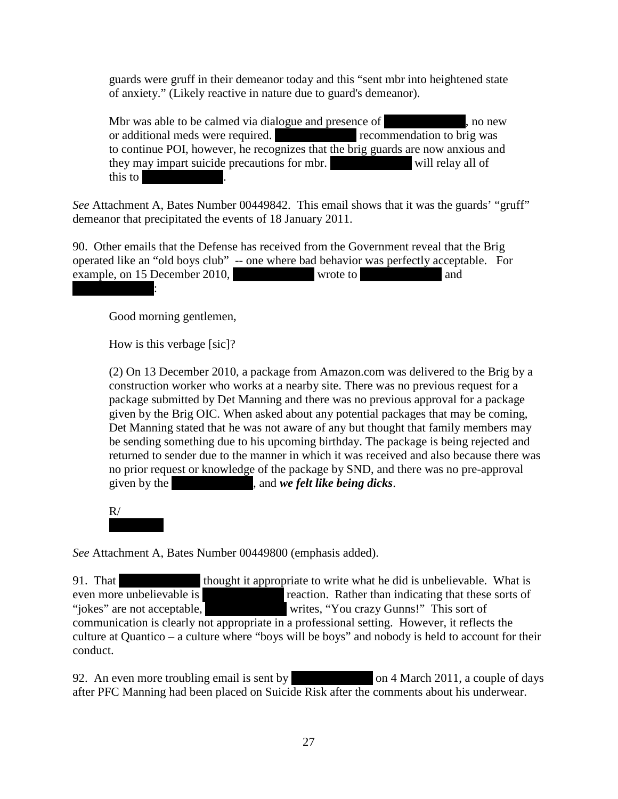guards were gruff in their demeanor today and this "sent mbr into heightened state of anxiety." (Likely reactive in nature due to guard's demeanor).

Mbr was able to be calmed via dialogue and presence of  $\blacksquare$ , no new or additional meds were required. \*\*\*\* recommendation to brig was to continue POI, however, he recognizes that the brig guards are now anxious and they may impart suicide precautions for mbr.  $\blacksquare$  will relay all of this to

*See* Attachment A, Bates Number 00449842. This email shows that it was the guards' "gruff" demeanor that precipitated the events of 18 January 2011.

90. Other emails that the Defense has received from the Government reveal that the Brig operated like an "old boys club" -- one where bad behavior was perfectly acceptable. For example, on 15 December 2010, \*\*\*\* wrote to \*\*\*  $\mathbf{r}$ 

Good morning gentlemen,

How is this verbage [sic]?

(2) On 13 December 2010, a package from Amazon.com was delivered to the Brig by a construction worker who works at a nearby site. There was no previous request for a package submitted by Det Manning and there was no previous approval for a package given by the Brig OIC. When asked about any potential packages that may be coming, Det Manning stated that he was not aware of any but thought that family members may be sending something due to his upcoming birthday. The package is being rejected and returned to sender due to the manner in which it was received and also because there was no prior request or knowledge of the package by SND, and there was no pre-approval given by the \*\*\*\*\*\*\*\*\*\*\*\*\*, and *we felt like being dicks*.

 $R/$ 

*See* Attachment A, Bates Number 00449800 (emphasis added).

91. That \*\*\* thought it appropriate to write what he did is unbelievable. What is even more unbelievable is \*\*\*\* reaction. Rather than indicating that these sorts of "jokes" are not acceptable, \*\*\*\*\* writes, "You crazy Gunns!" This sort of communication is clearly not appropriate in a professional setting. However, it reflects the culture at Quantico – a culture where "boys will be boys" and nobody is held to account for their conduct.

92. An even more troubling email is sent by  $\qquad \qquad$  on 4 March 2011, a couple of days after PFC Manning had been placed on Suicide Risk after the comments about his underwear.